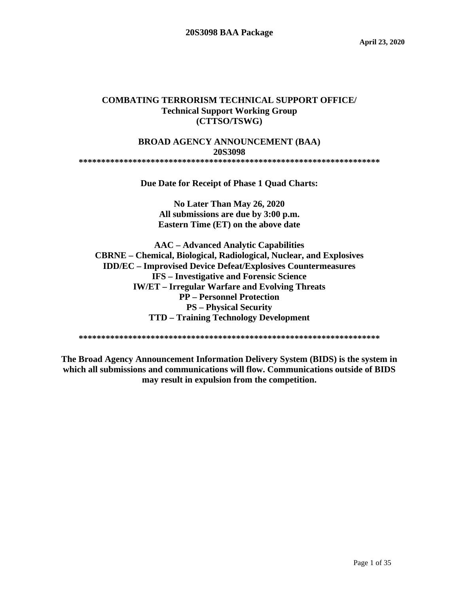#### **COMBATING TERRORISM TECHNICAL SUPPORT OFFICE/ Technical Support Working Group (CTTSO/TSWG)**

#### **BROAD AGENCY ANNOUNCEMENT (BAA) 20S3098 \*\*\*\*\*\*\*\*\*\*\*\*\*\*\*\*\*\*\*\*\*\*\*\*\*\*\*\*\*\*\*\*\*\*\*\*\*\*\*\*\*\*\*\*\*\*\*\*\*\*\*\*\*\*\*\*\*\*\*\*\*\*\*\*\*\*\***

**Due Date for Receipt of Phase 1 Quad Charts:**

**No Later Than May 26, 2020 All submissions are due by 3:00 p.m. Eastern Time (ET) on the above date**

**AAC – Advanced Analytic Capabilities CBRNE – Chemical, Biological, Radiological, Nuclear, and Explosives IDD/EC – Improvised Device Defeat/Explosives Countermeasures IFS – Investigative and Forensic Science IW/ET – Irregular Warfare and Evolving Threats PP – Personnel Protection PS – Physical Security TTD – Training Technology Development**

**\*\*\*\*\*\*\*\*\*\*\*\*\*\*\*\*\*\*\*\*\*\*\*\*\*\*\*\*\*\*\*\*\*\*\*\*\*\*\*\*\*\*\*\*\*\*\*\*\*\*\*\*\*\*\*\*\*\*\*\*\*\*\*\*\*\*\***

**The Broad Agency Announcement Information Delivery System (BIDS) is the system in which all submissions and communications will flow. Communications outside of BIDS may result in expulsion from the competition.**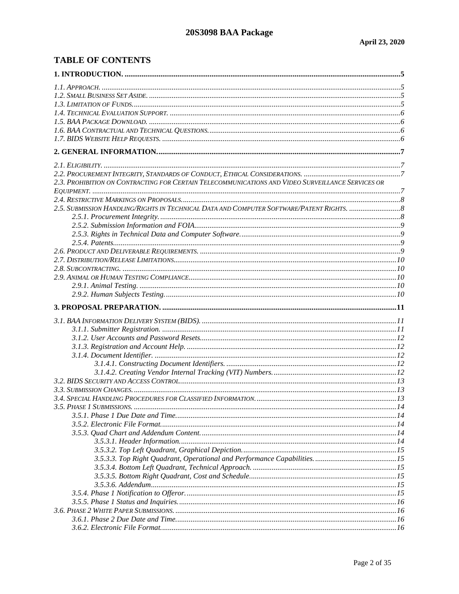# **TABLE OF CONTENTS**

| 2.3. PROHIBITION ON CONTRACTING FOR CERTAIN TELECOMMUNICATIONS AND VIDEO SURVEILLANCE SERVICES OR |  |
|---------------------------------------------------------------------------------------------------|--|
|                                                                                                   |  |
|                                                                                                   |  |
|                                                                                                   |  |
|                                                                                                   |  |
|                                                                                                   |  |
|                                                                                                   |  |
|                                                                                                   |  |
|                                                                                                   |  |
|                                                                                                   |  |
|                                                                                                   |  |
|                                                                                                   |  |
|                                                                                                   |  |
|                                                                                                   |  |
|                                                                                                   |  |
|                                                                                                   |  |
|                                                                                                   |  |
|                                                                                                   |  |
|                                                                                                   |  |
|                                                                                                   |  |
|                                                                                                   |  |
|                                                                                                   |  |
|                                                                                                   |  |
|                                                                                                   |  |
|                                                                                                   |  |
|                                                                                                   |  |
|                                                                                                   |  |
|                                                                                                   |  |
|                                                                                                   |  |
|                                                                                                   |  |
|                                                                                                   |  |
|                                                                                                   |  |
|                                                                                                   |  |
|                                                                                                   |  |
|                                                                                                   |  |
|                                                                                                   |  |
|                                                                                                   |  |
|                                                                                                   |  |
|                                                                                                   |  |
|                                                                                                   |  |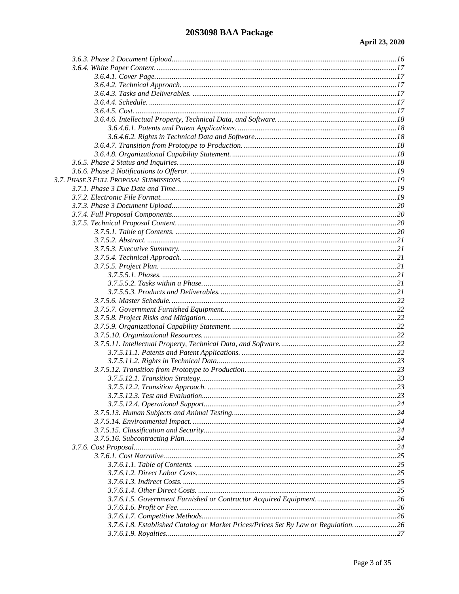| 3.7.6.1.8. Established Catalog or Market Prices/Prices Set By Law or Regulation.  26 |  |
|--------------------------------------------------------------------------------------|--|
|                                                                                      |  |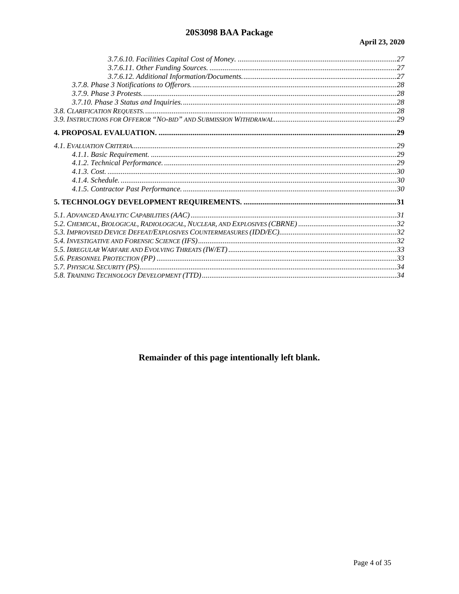# 20S3098 BAA Package

Remainder of this page intentionally left blank.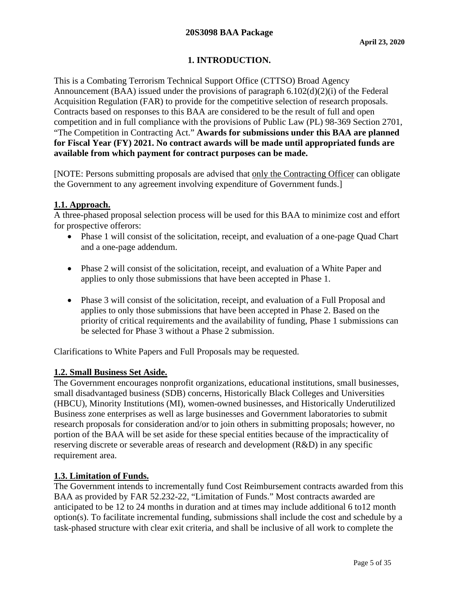# **1. INTRODUCTION.**

<span id="page-4-0"></span>This is a Combating Terrorism Technical Support Office (CTTSO) Broad Agency Announcement (BAA) issued under the provisions of paragraph 6.102(d)(2)(i) of the Federal Acquisition Regulation (FAR) to provide for the competitive selection of research proposals. Contracts based on responses to this BAA are considered to be the result of full and open competition and in full compliance with the provisions of Public Law (PL) 98-369 Section 2701, "The Competition in Contracting Act." **Awards for submissions under this BAA are planned for Fiscal Year (FY) 2021. No contract awards will be made until appropriated funds are available from which payment for contract purposes can be made.**

[NOTE: Persons submitting proposals are advised that only the Contracting Officer can obligate the Government to any agreement involving expenditure of Government funds.]

### <span id="page-4-1"></span>**1.1. Approach.**

A three-phased proposal selection process will be used for this BAA to minimize cost and effort for prospective offerors:

- Phase 1 will consist of the solicitation, receipt, and evaluation of a one-page Quad Chart and a one-page addendum.
- Phase 2 will consist of the solicitation, receipt, and evaluation of a White Paper and applies to only those submissions that have been accepted in Phase 1.
- Phase 3 will consist of the solicitation, receipt, and evaluation of a Full Proposal and applies to only those submissions that have been accepted in Phase 2. Based on the priority of critical requirements and the availability of funding, Phase 1 submissions can be selected for Phase 3 without a Phase 2 submission.

Clarifications to White Papers and Full Proposals may be requested.

### <span id="page-4-2"></span>**1.2. Small Business Set Aside.**

The Government encourages nonprofit organizations, educational institutions, small businesses, small disadvantaged business (SDB) concerns, Historically Black Colleges and Universities (HBCU), Minority Institutions (MI), women-owned businesses, and Historically Underutilized Business zone enterprises as well as large businesses and Government laboratories to submit research proposals for consideration and/or to join others in submitting proposals; however, no portion of the BAA will be set aside for these special entities because of the impracticality of reserving discrete or severable areas of research and development (R&D) in any specific requirement area.

### <span id="page-4-3"></span>**1.3. Limitation of Funds.**

The Government intends to incrementally fund Cost Reimbursement contracts awarded from this BAA as provided by FAR 52.232-22, "Limitation of Funds." Most contracts awarded are anticipated to be 12 to 24 months in duration and at times may include additional 6 to12 month option(s). To facilitate incremental funding, submissions shall include the cost and schedule by a task-phased structure with clear exit criteria, and shall be inclusive of all work to complete the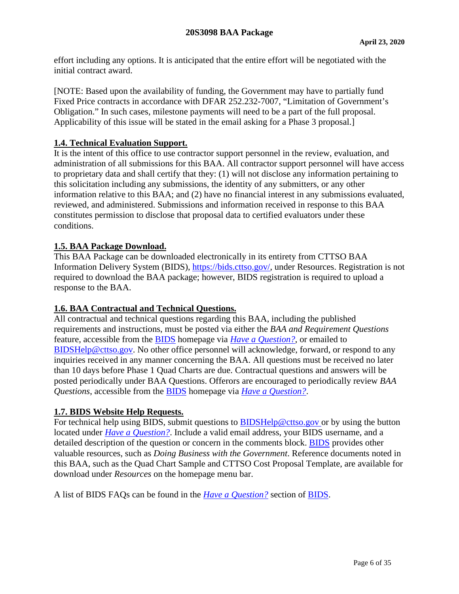effort including any options. It is anticipated that the entire effort will be negotiated with the initial contract award.

[NOTE: Based upon the availability of funding, the Government may have to partially fund Fixed Price contracts in accordance with DFAR 252.232-7007, "Limitation of Government's Obligation." In such cases, milestone payments will need to be a part of the full proposal. Applicability of this issue will be stated in the email asking for a Phase 3 proposal.]

# <span id="page-5-0"></span>**1.4. Technical Evaluation Support.**

It is the intent of this office to use contractor support personnel in the review, evaluation, and administration of all submissions for this BAA. All contractor support personnel will have access to proprietary data and shall certify that they: (1) will not disclose any information pertaining to this solicitation including any submissions, the identity of any submitters, or any other information relative to this BAA; and (2) have no financial interest in any submissions evaluated, reviewed, and administered. Submissions and information received in response to this BAA constitutes permission to disclose that proposal data to certified evaluators under these conditions.

### <span id="page-5-1"></span>**1.5. BAA Package Download.**

This BAA Package can be downloaded electronically in its entirety from CTTSO BAA Information Delivery System (BIDS), [https://bids.cttso.gov/,](https://bids.cttso.gov/) under Resources. Registration is not required to download the BAA package; however, BIDS registration is required to upload a response to the BAA.

### <span id="page-5-2"></span>**1.6. BAA Contractual and Technical Questions.**

All contractual and technical questions regarding this BAA, including the published requirements and instructions, must be posted via either the *BAA and Requirement Questions* feature, accessible from the [BIDS](https://bids.cttso.gov/) homepage via *[Have a Question?](https://bids.cttso.gov/Help/DisplayHelpIndex)*, or emailed to [BIDSHelp@cttso.gov.](mailto:BIDSHelp@cttso.gov) No other office personnel will acknowledge, forward, or respond to any inquiries received in any manner concerning the BAA. All questions must be received no later than 10 days before Phase 1 Quad Charts are due. Contractual questions and answers will be posted periodically under BAA Questions. Offerors are encouraged to periodically review *BAA Questions*, accessible from the [BIDS](https://bids.cttso.gov/) homepage via *[Have a Question?](https://bids.cttso.gov/Help/DisplayHelpIndex)*.

### <span id="page-5-3"></span>**1.7. BIDS Website Help Requests.**

For technical help using BIDS, submit questions to [BIDSHelp@cttso.gov](mailto:BIDSHelp@cttso.gov) or by using the button located under *[Have a Question?](https://bids.cttso.gov/Help/DisplayHelpIndex)*. Include a valid email address, your BIDS username, and a detailed description of the question or concern in the comments block. [BIDS](https://bids.cttso.gov/) provides other valuable resources, such as *Doing Business with the Government*. Reference documents noted in this BAA, such as the Quad Chart Sample and CTTSO Cost Proposal Template, are available for download under *Resources* on the homepage menu bar.

A list of BIDS FAQs can be found in the *[Have a Question?](https://bids.cttso.gov/Help/DisplayHelpIndex)* section of [BIDS.](https://bids.cttso.gov/)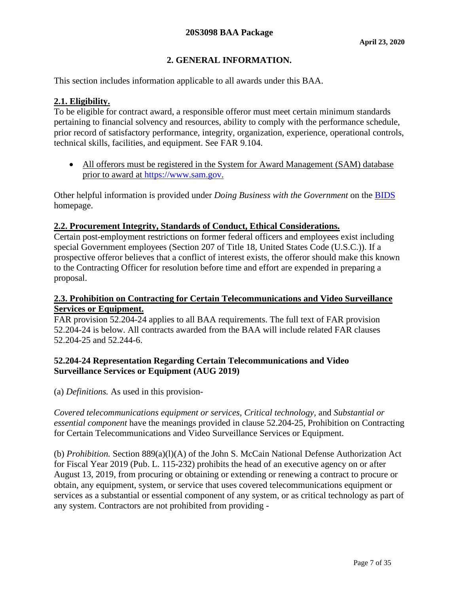# **2. GENERAL INFORMATION.**

<span id="page-6-0"></span>This section includes information applicable to all awards under this BAA.

# <span id="page-6-1"></span>**2.1. Eligibility.**

To be eligible for contract award, a responsible offeror must meet certain minimum standards pertaining to financial solvency and resources, ability to comply with the performance schedule, prior record of satisfactory performance, integrity, organization, experience, operational controls, technical skills, facilities, and equipment. See FAR 9.104.

• All offerors must be registered in the System for Award Management (SAM) database prior to award at [https://www.sam.gov.](https://www.sam.gov/)

Other helpful information is provided under *Doing Business with the Government* on the [BIDS](https://bids.cttso.gov/) homepage.

### <span id="page-6-2"></span>**2.2. Procurement Integrity, Standards of Conduct, Ethical Considerations.**

Certain post-employment restrictions on former federal officers and employees exist including special Government employees (Section 207 of Title 18, United States Code (U.S.C.)). If a prospective offeror believes that a conflict of interest exists, the offeror should make this known to the Contracting Officer for resolution before time and effort are expended in preparing a proposal.

#### <span id="page-6-3"></span>**2.3. Prohibition on Contracting for Certain Telecommunications and Video Surveillance Services or Equipment.**

FAR provision 52.204-24 applies to all BAA requirements. The full text of FAR provision 52.204-24 is below. All contracts awarded from the BAA will include related FAR clauses 52.204-25 and 52.244-6.

#### **52.204-24 Representation Regarding Certain Telecommunications and Video Surveillance Services or Equipment (AUG 2019)**

(a) *Definitions.* As used in this provision-

*Covered telecommunications equipment or services, Critical technology,* and *Substantial or essential component* have the meanings provided in clause 52.204-25, Prohibition on Contracting for Certain Telecommunications and Video Surveillance Services or Equipment.

(b) *Prohibition.* Section 889(a)(l)(A) of the John S. McCain National Defense Authorization Act for Fiscal Year 2019 (Pub. L. 115-232) prohibits the head of an executive agency on or after August 13, 2019, from procuring or obtaining or extending or renewing a contract to procure or obtain, any equipment, system, or service that uses covered telecommunications equipment or services as a substantial or essential component of any system, or as critical technology as part of any system. Contractors are not prohibited from providing -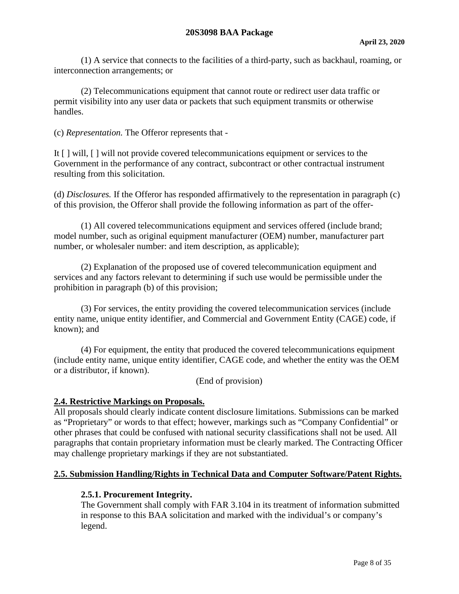(1) A service that connects to the facilities of a third-party, such as backhaul, roaming, or interconnection arrangements; or

(2) Telecommunications equipment that cannot route or redirect user data traffic or permit visibility into any user data or packets that such equipment transmits or otherwise handles.

(c) *Representation.* The Offeror represents that -

It [ ] will, [ ] will not provide covered telecommunications equipment or services to the Government in the performance of any contract, subcontract or other contractual instrument resulting from this solicitation.

(d) *Disclosures.* If the Offeror has responded affirmatively to the representation in paragraph (c) of this provision, the Offeror shall provide the following information as part of the offer-

(1) All covered telecommunications equipment and services offered (include brand; model number, such as original equipment manufacturer (OEM) number, manufacturer part number, or wholesaler number: and item description, as applicable);

(2) Explanation of the proposed use of covered telecommunication equipment and services and any factors relevant to determining if such use would be permissible under the prohibition in paragraph (b) of this provision;

(3) For services, the entity providing the covered telecommunication services (include entity name, unique entity identifier, and Commercial and Government Entity (CAGE) code, if known); and

(4) For equipment, the entity that produced the covered telecommunications equipment (include entity name, unique entity identifier, CAGE code, and whether the entity was the OEM or a distributor, if known).

(End of provision)

#### <span id="page-7-0"></span>**2.4. Restrictive Markings on Proposals.**

All proposals should clearly indicate content disclosure limitations. Submissions can be marked as "Proprietary" or words to that effect; however, markings such as "Company Confidential" or other phrases that could be confused with national security classifications shall not be used. All paragraphs that contain proprietary information must be clearly marked. The Contracting Officer may challenge proprietary markings if they are not substantiated.

#### <span id="page-7-2"></span><span id="page-7-1"></span>**2.5. Submission Handling/Rights in Technical Data and Computer Software/Patent Rights.**

#### **2.5.1. Procurement Integrity.**

The Government shall comply with FAR 3.104 in its treatment of information submitted in response to this BAA solicitation and marked with the individual's or company's legend.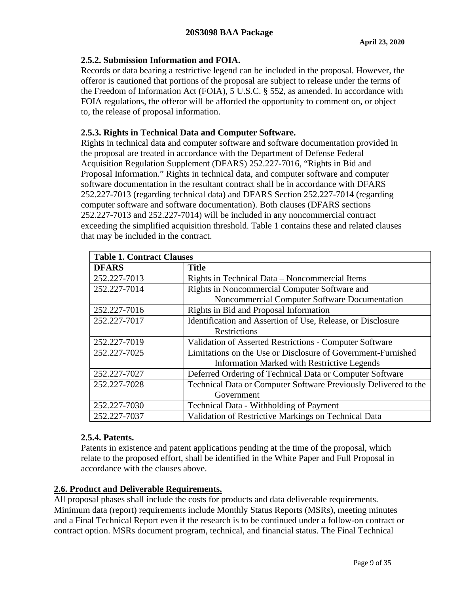# <span id="page-8-0"></span>**2.5.2. Submission Information and FOIA.**

Records or data bearing a restrictive legend can be included in the proposal. However, the offeror is cautioned that portions of the proposal are subject to release under the terms of the Freedom of Information Act (FOIA), 5 U.S.C. § 552, as amended. In accordance with FOIA regulations, the offeror will be afforded the opportunity to comment on, or object to, the release of proposal information.

# <span id="page-8-1"></span>**2.5.3. Rights in Technical Data and Computer Software.**

Rights in technical data and computer software and software documentation provided in the proposal are treated in accordance with the Department of Defense Federal Acquisition Regulation Supplement (DFARS) 252.227-7016, "Rights in Bid and Proposal Information." Rights in technical data, and computer software and computer software documentation in the resultant contract shall be in accordance with DFARS 252.227-7013 (regarding technical data) and DFARS Section 252.227-7014 (regarding computer software and software documentation). Both clauses (DFARS sections 252.227-7013 and 252.227-7014) will be included in any noncommercial contract exceeding the simplified acquisition threshold. Table 1 contains these and related clauses that may be included in the contract.

| <b>Table 1. Contract Clauses</b> |                                                                 |  |  |
|----------------------------------|-----------------------------------------------------------------|--|--|
| <b>DFARS</b>                     | <b>Title</b>                                                    |  |  |
| 252.227-7013                     | Rights in Technical Data – Noncommercial Items                  |  |  |
| 252.227-7014                     | Rights in Noncommercial Computer Software and                   |  |  |
|                                  | Noncommercial Computer Software Documentation                   |  |  |
| 252.227-7016                     | Rights in Bid and Proposal Information                          |  |  |
| 252.227-7017                     | Identification and Assertion of Use, Release, or Disclosure     |  |  |
|                                  | Restrictions                                                    |  |  |
| 252.227-7019                     | Validation of Asserted Restrictions - Computer Software         |  |  |
| 252.227-7025                     | Limitations on the Use or Disclosure of Government-Furnished    |  |  |
|                                  | <b>Information Marked with Restrictive Legends</b>              |  |  |
| 252.227-7027                     | Deferred Ordering of Technical Data or Computer Software        |  |  |
| 252.227-7028                     | Technical Data or Computer Software Previously Delivered to the |  |  |
|                                  | Government                                                      |  |  |
| 252.227-7030                     | <b>Technical Data - Withholding of Payment</b>                  |  |  |
| 252.227-7037                     | Validation of Restrictive Markings on Technical Data            |  |  |

### <span id="page-8-2"></span>**2.5.4. Patents.**

Patents in existence and patent applications pending at the time of the proposal, which relate to the proposed effort, shall be identified in the White Paper and Full Proposal in accordance with the clauses above.

### <span id="page-8-3"></span>**2.6. Product and Deliverable Requirements.**

All proposal phases shall include the costs for products and data deliverable requirements. Minimum data (report) requirements include Monthly Status Reports (MSRs), meeting minutes and a Final Technical Report even if the research is to be continued under a follow-on contract or contract option. MSRs document program, technical, and financial status. The Final Technical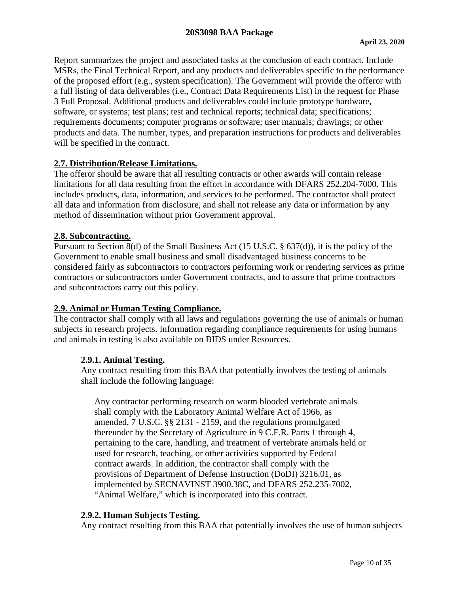#### **20S3098 BAA Package**

Report summarizes the project and associated tasks at the conclusion of each contract. Include MSRs, the Final Technical Report, and any products and deliverables specific to the performance of the proposed effort (e.g., system specification). The Government will provide the offeror with a full listing of data deliverables (i.e., Contract Data Requirements List) in the request for Phase 3 Full Proposal. Additional products and deliverables could include prototype hardware, software, or systems; test plans; test and technical reports; technical data; specifications; requirements documents; computer programs or software; user manuals; drawings; or other products and data. The number, types, and preparation instructions for products and deliverables will be specified in the contract.

#### <span id="page-9-0"></span>**2.7. Distribution/Release Limitations.**

The offeror should be aware that all resulting contracts or other awards will contain release limitations for all data resulting from the effort in accordance with DFARS 252.204-7000. This includes products, data, information, and services to be performed. The contractor shall protect all data and information from disclosure, and shall not release any data or information by any method of dissemination without prior Government approval.

#### <span id="page-9-1"></span>**2.8. Subcontracting.**

Pursuant to Section 8(d) of the Small Business Act (15 U.S.C. § 637(d)), it is the policy of the Government to enable small business and small disadvantaged business concerns to be considered fairly as subcontractors to contractors performing work or rendering services as prime contractors or subcontractors under Government contracts, and to assure that prime contractors and subcontractors carry out this policy.

### <span id="page-9-2"></span>**2.9. Animal or Human Testing Compliance.**

The contractor shall comply with all laws and regulations governing the use of animals or human subjects in research projects. Information regarding compliance requirements for using humans and animals in testing is also available on BIDS under Resources.

#### <span id="page-9-3"></span>**2.9.1. Animal Testing.**

Any contract resulting from this BAA that potentially involves the testing of animals shall include the following language:

Any contractor performing research on warm blooded vertebrate animals shall comply with the Laboratory Animal Welfare Act of 1966, as amended, 7 U.S.C. §§ 2131 - 2159, and the regulations promulgated thereunder by the Secretary of Agriculture in 9 C.F.R. Parts 1 through 4, pertaining to the care, handling, and treatment of vertebrate animals held or used for research, teaching, or other activities supported by Federal contract awards. In addition, the contractor shall comply with the provisions of Department of Defense Instruction (DoDI) 3216.01, as implemented by SECNAVINST 3900.38C, and DFARS 252.235-7002, "Animal Welfare," which is incorporated into this contract.

### <span id="page-9-4"></span>**2.9.2. Human Subjects Testing.**

Any contract resulting from this BAA that potentially involves the use of human subjects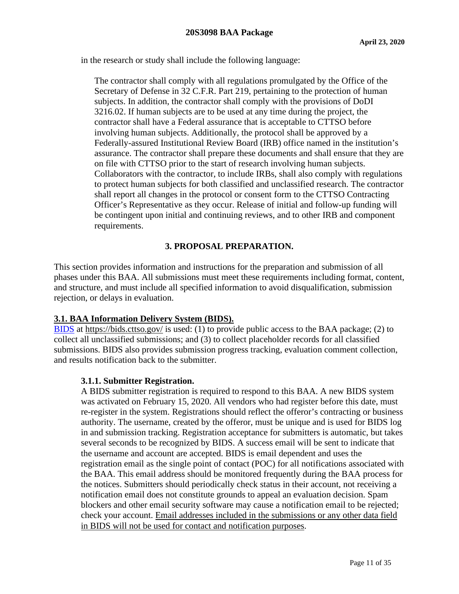in the research or study shall include the following language:

The contractor shall comply with all regulations promulgated by the Office of the Secretary of Defense in 32 C.F.R. Part 219, pertaining to the protection of human subjects. In addition, the contractor shall comply with the provisions of DoDI 3216.02. If human subjects are to be used at any time during the project, the contractor shall have a Federal assurance that is acceptable to CTTSO before involving human subjects. Additionally, the protocol shall be approved by a Federally-assured Institutional Review Board (IRB) office named in the institution's assurance. The contractor shall prepare these documents and shall ensure that they are on file with CTTSO prior to the start of research involving human subjects. Collaborators with the contractor, to include IRBs, shall also comply with regulations to protect human subjects for both classified and unclassified research. The contractor shall report all changes in the protocol or consent form to the CTTSO Contracting Officer's Representative as they occur. Release of initial and follow-up funding will be contingent upon initial and continuing reviews, and to other IRB and component requirements.

# **3. PROPOSAL PREPARATION.**

<span id="page-10-0"></span>This section provides information and instructions for the preparation and submission of all phases under this BAA. All submissions must meet these requirements including format, content, and structure, and must include all specified information to avoid disqualification, submission rejection, or delays in evaluation.

### <span id="page-10-1"></span>**3.1. BAA Information Delivery System (BIDS).**

[BIDS](https://bids.cttso.gov/) at<https://bids.cttso.gov/> is used: (1) to provide public access to the BAA package; (2) to collect all unclassified submissions; and (3) to collect placeholder records for all classified submissions. BIDS also provides submission progress tracking, evaluation comment collection, and results notification back to the submitter.

#### <span id="page-10-2"></span>**3.1.1. Submitter Registration.**

A BIDS submitter registration is required to respond to this BAA. A new BIDS system was activated on February 15, 2020. All vendors who had register before this date, must re-register in the system. Registrations should reflect the offeror's contracting or business authority. The username, created by the offeror, must be unique and is used for BIDS log in and submission tracking. Registration acceptance for submitters is automatic, but takes several seconds to be recognized by BIDS. A success email will be sent to indicate that the username and account are accepted. BIDS is email dependent and uses the registration email as the single point of contact (POC) for all notifications associated with the BAA. This email address should be monitored frequently during the BAA process for the notices. Submitters should periodically check status in their account, not receiving a notification email does not constitute grounds to appeal an evaluation decision. Spam blockers and other email security software may cause a notification email to be rejected; check your account. Email addresses included in the submissions or any other data field in BIDS will not be used for contact and notification purposes.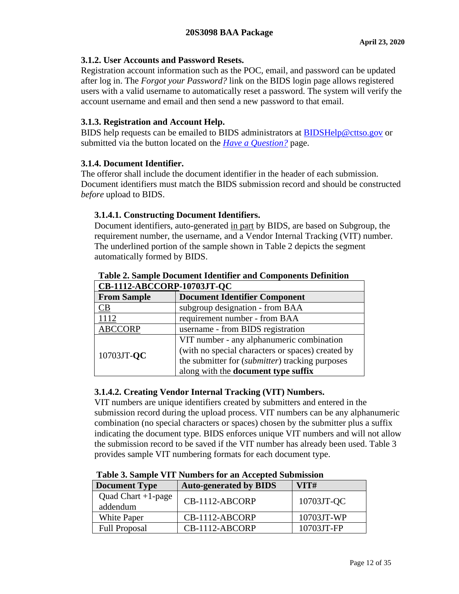### <span id="page-11-0"></span>**3.1.2. User Accounts and Password Resets.**

Registration account information such as the POC, email, and password can be updated after log in. The *Forgot your Password?* link on the BIDS login page allows registered users with a valid username to automatically reset a password. The system will verify the account username and email and then send a new password to that email.

# <span id="page-11-1"></span>**3.1.3. Registration and Account Help.**

BIDS help requests can be emailed to BIDS administrators at [BIDSHelp@cttso.gov](mailto:BIDSHelp@cttso.gov) or submitted via the button located on the *[Have a Question?](https://bids.cttso.gov/Help/DisplayHelpIndex)* page.

### <span id="page-11-2"></span>**3.1.4. Document Identifier.**

The offeror shall include the document identifier in the header of each submission. Document identifiers must match the BIDS submission record and should be constructed *before* upload to BIDS.

# <span id="page-11-3"></span>**3.1.4.1. Constructing Document Identifiers.**

Document identifiers, auto-generated in part by BIDS, are based on Subgroup, the requirement number, the username, and a Vendor Internal Tracking (VIT) number. The underlined portion of the sample shown in Table 2 depicts the segment automatically formed by BIDS.

| CB-1112-ABCCORP-10703JT-QC |                                                   |  |  |
|----------------------------|---------------------------------------------------|--|--|
| <b>From Sample</b>         | <b>Document Identifier Component</b>              |  |  |
| CВ                         | subgroup designation - from BAA                   |  |  |
| 1112                       | requirement number - from BAA                     |  |  |
| <b>ABCCORP</b>             | username - from BIDS registration                 |  |  |
| 10703JT-QC                 | VIT number - any alphanumeric combination         |  |  |
|                            | (with no special characters or spaces) created by |  |  |
|                            | the submitter for (submitter) tracking purposes   |  |  |
|                            | along with the <b>document type suffix</b>        |  |  |

# **Table 2. Sample Document Identifier and Components Definition**

# <span id="page-11-4"></span>**3.1.4.2. Creating Vendor Internal Tracking (VIT) Numbers.**

VIT numbers are unique identifiers created by submitters and entered in the submission record during the upload process. VIT numbers can be any alphanumeric combination (no special characters or spaces) chosen by the submitter plus a suffix indicating the document type. BIDS enforces unique VIT numbers and will not allow the submission record to be saved if the VIT number has already been used. Table 3 provides sample VIT numbering formats for each document type.

| <b>Document Type</b>              | <b>Auto-generated by BIDS</b> | VITH       |
|-----------------------------------|-------------------------------|------------|
| Quad Chart $+1$ -page<br>addendum | CB-1112-ABCORP                | 10703JT-QC |
| White Paper                       | CB-1112-ABCORP                | 10703JT-WP |
| <b>Full Proposal</b>              | $CB-1112-ABCORP$              | 10703JT-FP |

**Table 3. Sample VIT Numbers for an Accepted Submission**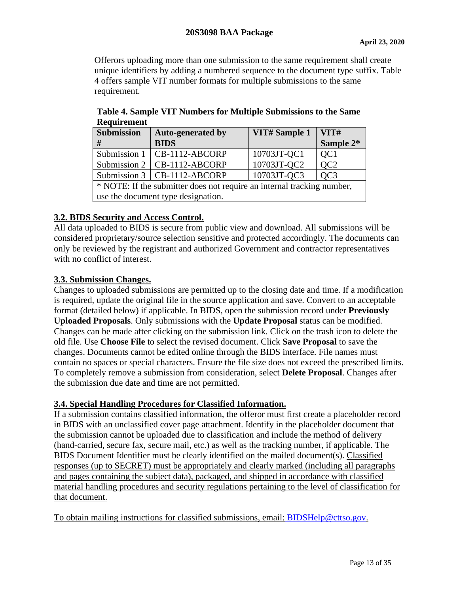Offerors uploading more than one submission to the same requirement shall create unique identifiers by adding a numbered sequence to the document type suffix. Table 4 offers sample VIT number formats for multiple submissions to the same requirement.

| <b>Submission</b>                                                      | <b>Auto-generated by</b>      | VIT# Sample 1 | VIT#            |
|------------------------------------------------------------------------|-------------------------------|---------------|-----------------|
| #                                                                      | <b>BIDS</b>                   |               | Sample 2*       |
| Submission 1                                                           | $\overline{CB-1112-ABCORP}$   | 10703JT-QC1   | QC <sub>1</sub> |
| Submission 2                                                           | $\overline{CB-1112-ABCORP}$   | 10703JT-QC2   | QC <sub>2</sub> |
|                                                                        | Submission 3   CB-1112-ABCORP | 10703JT-QC3   | OC <sub>3</sub> |
| * NOTE: If the submitter does not require an internal tracking number, |                               |               |                 |
| use the document type designation.                                     |                               |               |                 |

**Table 4. Sample VIT Numbers for Multiple Submissions to the Same Requirement**

### <span id="page-12-0"></span>**3.2. BIDS Security and Access Control.**

All data uploaded to BIDS is secure from public view and download. All submissions will be considered proprietary/source selection sensitive and protected accordingly. The documents can only be reviewed by the registrant and authorized Government and contractor representatives with no conflict of interest.

### <span id="page-12-1"></span>**3.3. Submission Changes.**

Changes to uploaded submissions are permitted up to the closing date and time. If a modification is required, update the original file in the source application and save. Convert to an acceptable format (detailed below) if applicable. In BIDS, open the submission record under **Previously Uploaded Proposals**. Only submissions with the **Update Proposal** status can be modified. Changes can be made after clicking on the submission link. Click on the trash icon to delete the old file. Use **Choose File** to select the revised document. Click **Save Proposal** to save the changes. Documents cannot be edited online through the BIDS interface. File names must contain no spaces or special characters. Ensure the file size does not exceed the prescribed limits. To completely remove a submission from consideration, select **Delete Proposal**. Changes after the submission due date and time are not permitted.

### <span id="page-12-2"></span>**3.4. Special Handling Procedures for Classified Information.**

If a submission contains classified information, the offeror must first create a placeholder record in BIDS with an unclassified cover page attachment. Identify in the placeholder document that the submission cannot be uploaded due to classification and include the method of delivery (hand-carried, secure fax, secure mail, etc.) as well as the tracking number, if applicable. The BIDS Document Identifier must be clearly identified on the mailed document(s). Classified responses (up to SECRET) must be appropriately and clearly marked (including all paragraphs and pages containing the subject data), packaged, and shipped in accordance with classified material handling procedures and security regulations pertaining to the level of classification for that document.

To obtain mailing instructions for classified submissions, email: BIDSHelp@cttso.gov.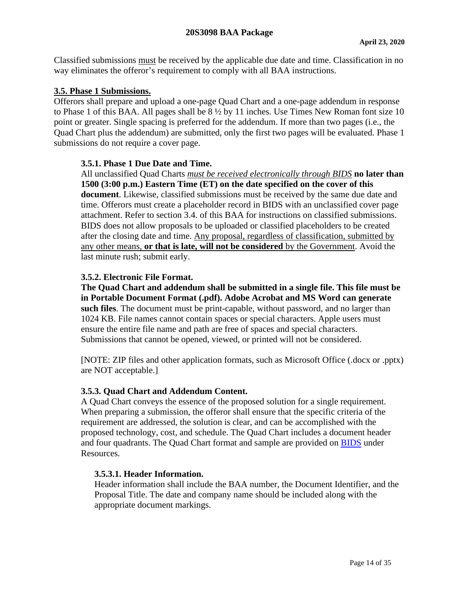Classified submissions must be received by the applicable due date and time. Classification in no way eliminates the offeror's requirement to comply with all BAA instructions.

### <span id="page-13-0"></span>**3.5. Phase 1 Submissions.**

Offerors shall prepare and upload a one-page Quad Chart and a one-page addendum in response to Phase 1 of this BAA. All pages shall be 8 ½ by 11 inches. Use Times New Roman font size 10 point or greater. Single spacing is preferred for the addendum. If more than two pages (i.e., the Quad Chart plus the addendum) are submitted, only the first two pages will be evaluated. Phase 1 submissions do not require a cover page.

### <span id="page-13-1"></span>**3.5.1. Phase 1 Due Date and Time.**

All unclassified Quad Charts *must be received electronically through BIDS* **no later than 1500 (3:00 p.m.) Eastern Time (ET) on the date specified on the cover of this document**. Likewise, classified submissions must be received by the same due date and time. Offerors must create a placeholder record in BIDS with an unclassified cover page attachment. Refer to section 3.4. of this BAA for instructions on classified submissions. BIDS does not allow proposals to be uploaded or classified placeholders to be created after the closing date and time. Any proposal, regardless of classification, submitted by any other means, **or that is late, will not be considered** by the Government. Avoid the last minute rush; submit early.

# <span id="page-13-2"></span>**3.5.2. Electronic File Format.**

**The Quad Chart and addendum shall be submitted in a single file. This file must be in Portable Document Format (.pdf). Adobe Acrobat and MS Word can generate such files**. The document must be print-capable, without password, and no larger than 1024 KB. File names cannot contain spaces or special characters. Apple users must ensure the entire file name and path are free of spaces and special characters. Submissions that cannot be opened, viewed, or printed will not be considered.

[NOTE: ZIP files and other application formats, such as Microsoft Office (.docx or .pptx) are NOT acceptable.]

### <span id="page-13-3"></span>**3.5.3. Quad Chart and Addendum Content.**

A Quad Chart conveys the essence of the proposed solution for a single requirement. When preparing a submission, the offeror shall ensure that the specific criteria of the requirement are addressed, the solution is clear, and can be accomplished with the proposed technology, cost, and schedule. The Quad Chart includes a document header and four quadrants. The Quad Chart format and sample are provided on [BIDS](https://bids.cttso.gov/) under Resources.

### <span id="page-13-4"></span>**3.5.3.1. Header Information.**

Header information shall include the BAA number, the Document Identifier, and the Proposal Title. The date and company name should be included along with the appropriate document markings.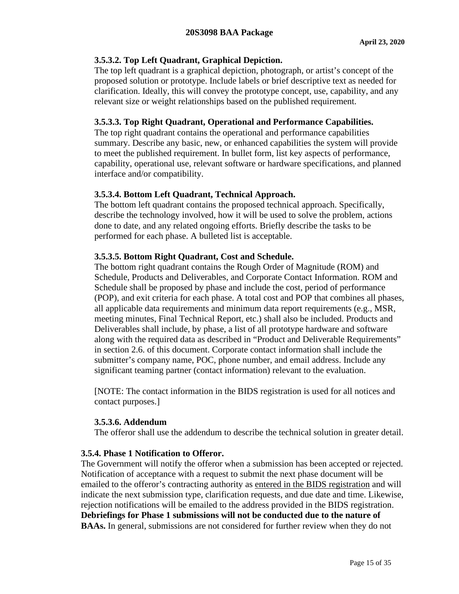# <span id="page-14-0"></span>**3.5.3.2. Top Left Quadrant, Graphical Depiction.**

The top left quadrant is a graphical depiction, photograph, or artist's concept of the proposed solution or prototype. Include labels or brief descriptive text as needed for clarification. Ideally, this will convey the prototype concept, use, capability, and any relevant size or weight relationships based on the published requirement.

# <span id="page-14-1"></span>**3.5.3.3. Top Right Quadrant, Operational and Performance Capabilities.**

The top right quadrant contains the operational and performance capabilities summary. Describe any basic, new, or enhanced capabilities the system will provide to meet the published requirement. In bullet form, list key aspects of performance, capability, operational use, relevant software or hardware specifications, and planned interface and/or compatibility.

# <span id="page-14-2"></span>**3.5.3.4. Bottom Left Quadrant, Technical Approach.**

The bottom left quadrant contains the proposed technical approach. Specifically, describe the technology involved, how it will be used to solve the problem, actions done to date, and any related ongoing efforts. Briefly describe the tasks to be performed for each phase. A bulleted list is acceptable.

# <span id="page-14-3"></span>**3.5.3.5. Bottom Right Quadrant, Cost and Schedule.**

The bottom right quadrant contains the Rough Order of Magnitude (ROM) and Schedule, Products and Deliverables, and Corporate Contact Information. ROM and Schedule shall be proposed by phase and include the cost, period of performance (POP), and exit criteria for each phase. A total cost and POP that combines all phases, all applicable data requirements and minimum data report requirements (e.g., MSR, meeting minutes, Final Technical Report, etc.) shall also be included. Products and Deliverables shall include, by phase, a list of all prototype hardware and software along with the required data as described in "Product and Deliverable Requirements" in section 2.6. of this document. Corporate contact information shall include the submitter's company name, POC, phone number, and email address. Include any significant teaming partner (contact information) relevant to the evaluation.

[NOTE: The contact information in the BIDS registration is used for all notices and contact purposes.]

### <span id="page-14-4"></span>**3.5.3.6. Addendum**

The offeror shall use the addendum to describe the technical solution in greater detail.

### <span id="page-14-5"></span>**3.5.4. Phase 1 Notification to Offeror.**

The Government will notify the offeror when a submission has been accepted or rejected. Notification of acceptance with a request to submit the next phase document will be emailed to the offeror's contracting authority as entered in the BIDS registration and will indicate the next submission type, clarification requests, and due date and time. Likewise, rejection notifications will be emailed to the address provided in the BIDS registration. **Debriefings for Phase 1 submissions will not be conducted due to the nature of BAAs.** In general, submissions are not considered for further review when they do not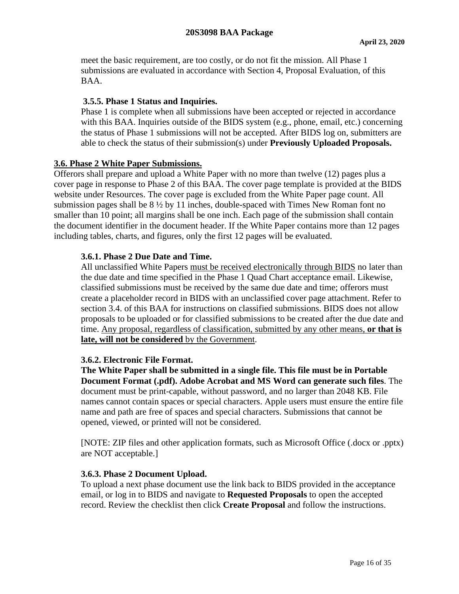meet the basic requirement, are too costly, or do not fit the mission. All Phase 1 submissions are evaluated in accordance with Section 4, Proposal Evaluation, of this BAA.

#### <span id="page-15-0"></span>**3.5.5. Phase 1 Status and Inquiries.**

Phase 1 is complete when all submissions have been accepted or rejected in accordance with this BAA. Inquiries outside of the BIDS system (e.g., phone, email, etc.) concerning the status of Phase 1 submissions will not be accepted. After BIDS log on, submitters are able to check the status of their submission(s) under **Previously Uploaded Proposals.**

#### <span id="page-15-1"></span>**3.6. Phase 2 White Paper Submissions.**

Offerors shall prepare and upload a White Paper with no more than twelve (12) pages plus a cover page in response to Phase 2 of this BAA. The cover page template is provided at the BIDS website under Resources. The cover page is excluded from the White Paper page count. All submission pages shall be 8 ½ by 11 inches, double-spaced with Times New Roman font no smaller than 10 point; all margins shall be one inch. Each page of the submission shall contain the document identifier in the document header. If the White Paper contains more than 12 pages including tables, charts, and figures, only the first 12 pages will be evaluated.

#### <span id="page-15-2"></span>**3.6.1. Phase 2 Due Date and Time.**

All unclassified White Papers must be received electronically through BIDS no later than the due date and time specified in the Phase 1 Quad Chart acceptance email. Likewise, classified submissions must be received by the same due date and time; offerors must create a placeholder record in BIDS with an unclassified cover page attachment. Refer to section 3.4. of this BAA for instructions on classified submissions. BIDS does not allow proposals to be uploaded or for classified submissions to be created after the due date and time. Any proposal, regardless of classification, submitted by any other means, **or that is late, will not be considered** by the Government.

#### <span id="page-15-3"></span>**3.6.2. Electronic File Format.**

**The White Paper shall be submitted in a single file. This file must be in Portable Document Format (.pdf). Adobe Acrobat and MS Word can generate such files**. The document must be print-capable, without password, and no larger than 2048 KB. File names cannot contain spaces or special characters. Apple users must ensure the entire file name and path are free of spaces and special characters. Submissions that cannot be opened, viewed, or printed will not be considered.

[NOTE: ZIP files and other application formats, such as Microsoft Office (.docx or .pptx) are NOT acceptable.]

#### <span id="page-15-4"></span>**3.6.3. Phase 2 Document Upload.**

To upload a next phase document use the link back to BIDS provided in the acceptance email, or log in to BIDS and navigate to **Requested Proposals** to open the accepted record. Review the checklist then click **Create Proposal** and follow the instructions.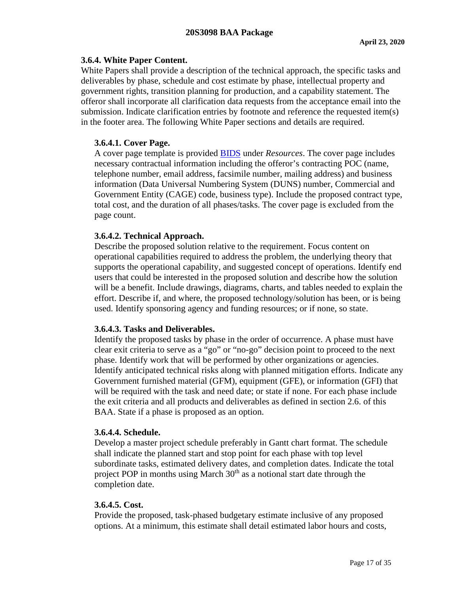#### <span id="page-16-0"></span>**3.6.4. White Paper Content.**

White Papers shall provide a description of the technical approach, the specific tasks and deliverables by phase, schedule and cost estimate by phase, intellectual property and government rights, transition planning for production, and a capability statement. The offeror shall incorporate all clarification data requests from the acceptance email into the submission. Indicate clarification entries by footnote and reference the requested item(s) in the footer area. The following White Paper sections and details are required.

#### <span id="page-16-1"></span>**3.6.4.1. Cover Page.**

A cover page template is provided [BIDS](https://bids.cttso.gov/) under *Resources*. The cover page includes necessary contractual information including the offeror's contracting POC (name, telephone number, email address, facsimile number, mailing address) and business information (Data Universal Numbering System (DUNS) number, Commercial and Government Entity (CAGE) code, business type). Include the proposed contract type, total cost, and the duration of all phases/tasks. The cover page is excluded from the page count.

#### <span id="page-16-2"></span>**3.6.4.2. Technical Approach.**

Describe the proposed solution relative to the requirement. Focus content on operational capabilities required to address the problem, the underlying theory that supports the operational capability, and suggested concept of operations. Identify end users that could be interested in the proposed solution and describe how the solution will be a benefit. Include drawings, diagrams, charts, and tables needed to explain the effort. Describe if, and where, the proposed technology/solution has been, or is being used. Identify sponsoring agency and funding resources; or if none, so state.

#### <span id="page-16-3"></span>**3.6.4.3. Tasks and Deliverables.**

Identify the proposed tasks by phase in the order of occurrence. A phase must have clear exit criteria to serve as a "go" or "no-go" decision point to proceed to the next phase. Identify work that will be performed by other organizations or agencies. Identify anticipated technical risks along with planned mitigation efforts. Indicate any Government furnished material (GFM), equipment (GFE), or information (GFI) that will be required with the task and need date; or state if none. For each phase include the exit criteria and all products and deliverables as defined in section 2.6. of this BAA. State if a phase is proposed as an option.

#### <span id="page-16-4"></span>**3.6.4.4. Schedule.**

Develop a master project schedule preferably in Gantt chart format. The schedule shall indicate the planned start and stop point for each phase with top level subordinate tasks, estimated delivery dates, and completion dates. Indicate the total project POP in months using March 30<sup>th</sup> as a notional start date through the completion date.

#### <span id="page-16-5"></span>**3.6.4.5. Cost.**

Provide the proposed, task-phased budgetary estimate inclusive of any proposed options. At a minimum, this estimate shall detail estimated labor hours and costs,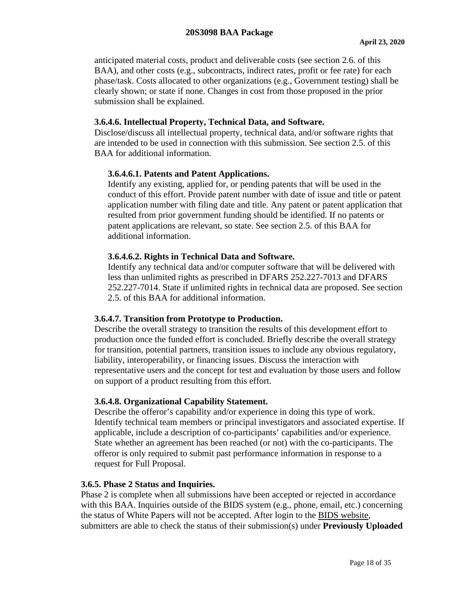anticipated material costs, product and deliverable costs (see section 2.6. of this BAA), and other costs (e.g., subcontracts, indirect rates, profit or fee rate) for each phase/task. Costs allocated to other organizations (e.g., Government testing) shall be clearly shown; or state if none. Changes in cost from those proposed in the prior submission shall be explained.

#### <span id="page-17-0"></span>**3.6.4.6. Intellectual Property, Technical Data, and Software.**

Disclose/discuss all intellectual property, technical data, and/or software rights that are intended to be used in connection with this submission. See section 2.5. of this BAA for additional information.

### <span id="page-17-1"></span>**3.6.4.6.1. Patents and Patent Applications.**

Identify any existing, applied for, or pending patents that will be used in the conduct of this effort. Provide patent number with date of issue and title or patent application number with filing date and title. Any patent or patent application that resulted from prior government funding should be identified. If no patents or patent applications are relevant, so state. See section 2.5. of this BAA for additional information.

#### <span id="page-17-2"></span>**3.6.4.6.2. Rights in Technical Data and Software.**

Identify any technical data and/or computer software that will be delivered with less than unlimited rights as prescribed in DFARS 252.227-7013 and DFARS 252.227-7014. State if unlimited rights in technical data are proposed. See section 2.5. of this BAA for additional information.

#### <span id="page-17-3"></span>**3.6.4.7. Transition from Prototype to Production.**

Describe the overall strategy to transition the results of this development effort to production once the funded effort is concluded. Briefly describe the overall strategy for transition, potential partners, transition issues to include any obvious regulatory, liability, interoperability, or financing issues. Discuss the interaction with representative users and the concept for test and evaluation by those users and follow on support of a product resulting from this effort.

#### <span id="page-17-4"></span>**3.6.4.8. Organizational Capability Statement.**

Describe the offeror's capability and/or experience in doing this type of work. Identify technical team members or principal investigators and associated expertise. If applicable, include a description of co-participants' capabilities and/or experience. State whether an agreement has been reached (or not) with the co-participants. The offeror is only required to submit past performance information in response to a request for Full Proposal.

#### <span id="page-17-5"></span>**3.6.5. Phase 2 Status and Inquiries.**

Phase 2 is complete when all submissions have been accepted or rejected in accordance with this BAA. Inquiries outside of the BIDS system (e.g., phone, email, etc.) concerning the status of White Papers will not be accepted. After login to the [BIDS website,](https://bids.cttso.gov/) submitters are able to check the status of their submission(s) under **Previously Uploaded**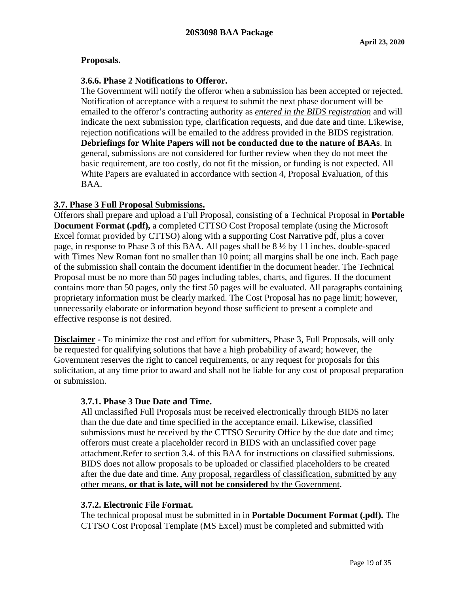#### **Proposals.**

#### <span id="page-18-0"></span>**3.6.6. Phase 2 Notifications to Offeror.**

The Government will notify the offeror when a submission has been accepted or rejected. Notification of acceptance with a request to submit the next phase document will be emailed to the offeror's contracting authority as *entered in the BIDS registration* and will indicate the next submission type, clarification requests, and due date and time. Likewise, rejection notifications will be emailed to the address provided in the BIDS registration. **Debriefings for White Papers will not be conducted due to the nature of BAAs**. In general, submissions are not considered for further review when they do not meet the basic requirement, are too costly, do not fit the mission, or funding is not expected. All White Papers are evaluated in accordance with section 4, Proposal Evaluation, of this BAA.

#### <span id="page-18-1"></span>**3.7. Phase 3 Full Proposal Submissions.**

Offerors shall prepare and upload a Full Proposal, consisting of a Technical Proposal in **Portable Document Format (.pdf),** a completed CTTSO Cost Proposal template (using the Microsoft Excel format provided by CTTSO) along with a supporting Cost Narrative pdf, plus a cover page, in response to Phase 3 of this BAA. All pages shall be 8 ½ by 11 inches, double-spaced with Times New Roman font no smaller than 10 point; all margins shall be one inch. Each page of the submission shall contain the document identifier in the document header. The Technical Proposal must be no more than 50 pages including tables, charts, and figures. If the document contains more than 50 pages, only the first 50 pages will be evaluated. All paragraphs containing proprietary information must be clearly marked. The Cost Proposal has no page limit; however, unnecessarily elaborate or information beyond those sufficient to present a complete and effective response is not desired.

**Disclaimer -** To minimize the cost and effort for submitters, Phase 3, Full Proposals, will only be requested for qualifying solutions that have a high probability of award; however, the Government reserves the right to cancel requirements, or any request for proposals for this solicitation, at any time prior to award and shall not be liable for any cost of proposal preparation or submission.

#### <span id="page-18-2"></span>**3.7.1. Phase 3 Due Date and Time.**

All unclassified Full Proposals must be received electronically through BIDS no later than the due date and time specified in the acceptance email. Likewise, classified submissions must be received by the CTTSO Security Office by the due date and time; offerors must create a placeholder record in BIDS with an unclassified cover page attachment.Refer to section 3.4. of this BAA for instructions on classified submissions. BIDS does not allow proposals to be uploaded or classified placeholders to be created after the due date and time. Any proposal, regardless of classification, submitted by any other means, **or that is late, will not be considered** by the Government.

#### <span id="page-18-3"></span>**3.7.2. Electronic File Format.**

The technical proposal must be submitted in in **Portable Document Format (.pdf).** The CTTSO Cost Proposal Template (MS Excel) must be completed and submitted with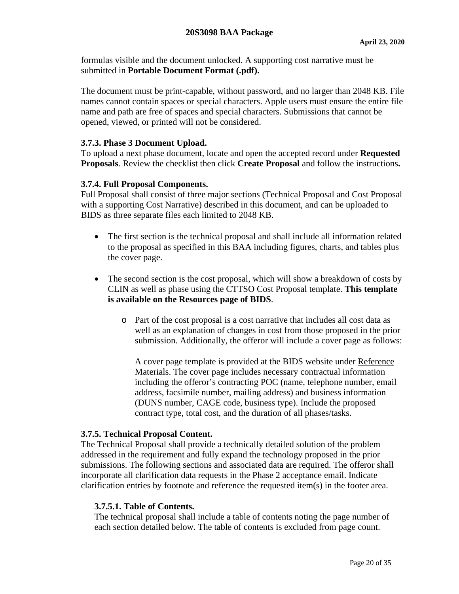formulas visible and the document unlocked. A supporting cost narrative must be submitted in **Portable Document Format (.pdf).**

The document must be print-capable, without password, and no larger than 2048 KB. File names cannot contain spaces or special characters. Apple users must ensure the entire file name and path are free of spaces and special characters. Submissions that cannot be opened, viewed, or printed will not be considered.

#### <span id="page-19-0"></span>**3.7.3. Phase 3 Document Upload.**

To upload a next phase document, locate and open the accepted record under **Requested Proposals**. Review the checklist then click **Create Proposal** and follow the instructions**.**

#### <span id="page-19-1"></span>**3.7.4. Full Proposal Components.**

Full Proposal shall consist of three major sections (Technical Proposal and Cost Proposal with a supporting Cost Narrative) described in this document, and can be uploaded to BIDS as three separate files each limited to 2048 KB.

- The first section is the technical proposal and shall include all information related to the proposal as specified in this BAA including figures, charts, and tables plus the cover page.
- The second section is the cost proposal, which will show a breakdown of costs by CLIN as well as phase using the CTTSO Cost Proposal template. **This template is available on the Resources page of BIDS**.
	- o Part of the cost proposal is a cost narrative that includes all cost data as well as an explanation of changes in cost from those proposed in the prior submission. Additionally, the offeror will include a cover page as follows:

A cover page template is provided at the BIDS website under [Reference](https://bids.cttso.gov/tswg/bids.nsf/xpReferenceMaterials.xsp)  [Materials.](https://bids.cttso.gov/tswg/bids.nsf/xpReferenceMaterials.xsp) The cover page includes necessary contractual information including the offeror's contracting POC (name, telephone number, email address, facsimile number, mailing address) and business information (DUNS number, CAGE code, business type). Include the proposed contract type, total cost, and the duration of all phases/tasks.

#### <span id="page-19-2"></span>**3.7.5. Technical Proposal Content.**

The Technical Proposal shall provide a technically detailed solution of the problem addressed in the requirement and fully expand the technology proposed in the prior submissions. The following sections and associated data are required. The offeror shall incorporate all clarification data requests in the Phase 2 acceptance email. Indicate clarification entries by footnote and reference the requested item(s) in the footer area.

#### <span id="page-19-3"></span>**3.7.5.1. Table of Contents.**

The technical proposal shall include a table of contents noting the page number of each section detailed below. The table of contents is excluded from page count.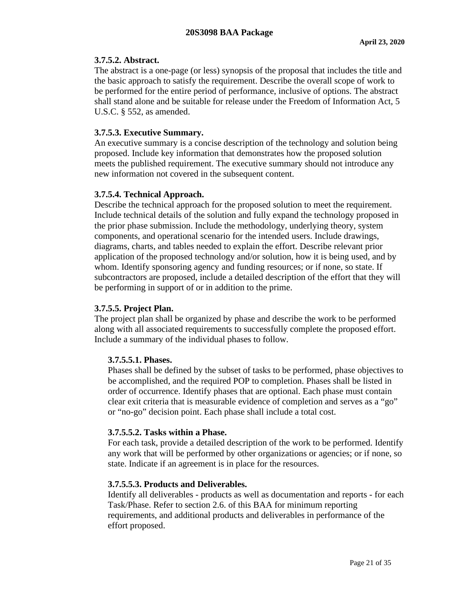# <span id="page-20-0"></span>**3.7.5.2. Abstract.**

The abstract is a one-page (or less) synopsis of the proposal that includes the title and the basic approach to satisfy the requirement. Describe the overall scope of work to be performed for the entire period of performance, inclusive of options. The abstract shall stand alone and be suitable for release under the Freedom of Information Act, 5 U.S.C. § 552, as amended.

# <span id="page-20-1"></span>**3.7.5.3. Executive Summary.**

An executive summary is a concise description of the technology and solution being proposed. Include key information that demonstrates how the proposed solution meets the published requirement. The executive summary should not introduce any new information not covered in the subsequent content.

# <span id="page-20-2"></span>**3.7.5.4. Technical Approach.**

Describe the technical approach for the proposed solution to meet the requirement. Include technical details of the solution and fully expand the technology proposed in the prior phase submission. Include the methodology, underlying theory, system components, and operational scenario for the intended users. Include drawings, diagrams, charts, and tables needed to explain the effort. Describe relevant prior application of the proposed technology and/or solution, how it is being used, and by whom. Identify sponsoring agency and funding resources; or if none, so state. If subcontractors are proposed, include a detailed description of the effort that they will be performing in support of or in addition to the prime.

### <span id="page-20-3"></span>**3.7.5.5. Project Plan.**

The project plan shall be organized by phase and describe the work to be performed along with all associated requirements to successfully complete the proposed effort. Include a summary of the individual phases to follow.

### <span id="page-20-4"></span>**3.7.5.5.1. Phases.**

Phases shall be defined by the subset of tasks to be performed, phase objectives to be accomplished, and the required POP to completion. Phases shall be listed in order of occurrence. Identify phases that are optional. Each phase must contain clear exit criteria that is measurable evidence of completion and serves as a "go" or "no-go" decision point. Each phase shall include a total cost.

### <span id="page-20-5"></span>**3.7.5.5.2. Tasks within a Phase.**

For each task, provide a detailed description of the work to be performed. Identify any work that will be performed by other organizations or agencies; or if none, so state. Indicate if an agreement is in place for the resources.

# <span id="page-20-6"></span>**3.7.5.5.3. Products and Deliverables.**

Identify all deliverables - products as well as documentation and reports - for each Task/Phase. Refer to section 2.6. of this BAA for minimum reporting requirements, and additional products and deliverables in performance of the effort proposed.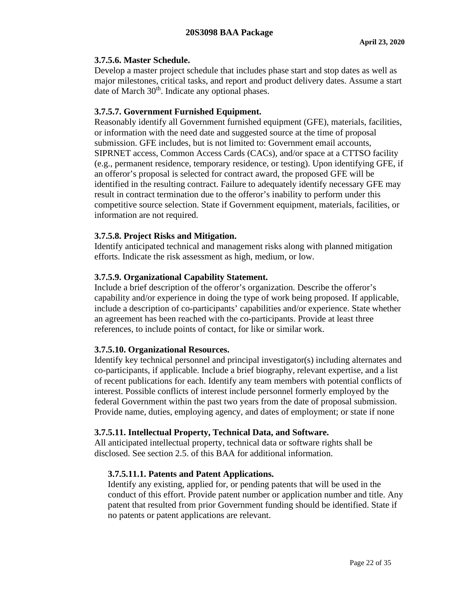#### <span id="page-21-0"></span>**3.7.5.6. Master Schedule.**

Develop a master project schedule that includes phase start and stop dates as well as major milestones, critical tasks, and report and product delivery dates. Assume a start date of March  $30<sup>th</sup>$ . Indicate any optional phases.

### <span id="page-21-1"></span>**3.7.5.7. Government Furnished Equipment.**

Reasonably identify all Government furnished equipment (GFE), materials, facilities, or information with the need date and suggested source at the time of proposal submission. GFE includes, but is not limited to: Government email accounts, SIPRNET access, Common Access Cards (CACs), and/or space at a CTTSO facility (e.g., permanent residence, temporary residence, or testing). Upon identifying GFE, if an offeror's proposal is selected for contract award, the proposed GFE will be identified in the resulting contract. Failure to adequately identify necessary GFE may result in contract termination due to the offeror's inability to perform under this competitive source selection. State if Government equipment, materials, facilities, or information are not required.

#### <span id="page-21-2"></span>**3.7.5.8. Project Risks and Mitigation.**

Identify anticipated technical and management risks along with planned mitigation efforts. Indicate the risk assessment as high, medium, or low.

#### <span id="page-21-3"></span>**3.7.5.9. Organizational Capability Statement.**

Include a brief description of the offeror's organization. Describe the offeror's capability and/or experience in doing the type of work being proposed. If applicable, include a description of co-participants' capabilities and/or experience. State whether an agreement has been reached with the co-participants. Provide at least three references, to include points of contact, for like or similar work.

#### <span id="page-21-4"></span>**3.7.5.10. Organizational Resources.**

Identify key technical personnel and principal investigator(s) including alternates and co-participants, if applicable. Include a brief biography, relevant expertise, and a list of recent publications for each. Identify any team members with potential conflicts of interest. Possible conflicts of interest include personnel formerly employed by the federal Government within the past two years from the date of proposal submission. Provide name, duties, employing agency, and dates of employment; or state if none

#### <span id="page-21-5"></span>**3.7.5.11. Intellectual Property, Technical Data, and Software.**

<span id="page-21-6"></span>All anticipated intellectual property, technical data or software rights shall be disclosed. See section 2.5. of this BAA for additional information.

### **3.7.5.11.1. Patents and Patent Applications.**

Identify any existing, applied for, or pending patents that will be used in the conduct of this effort. Provide patent number or application number and title. Any patent that resulted from prior Government funding should be identified. State if no patents or patent applications are relevant.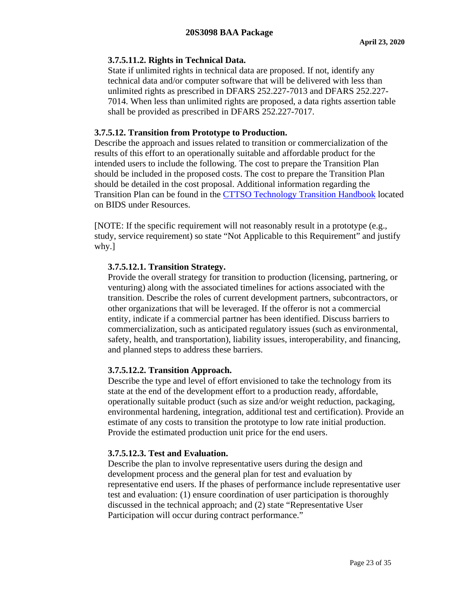### <span id="page-22-0"></span>**3.7.5.11.2. Rights in Technical Data.**

State if unlimited rights in technical data are proposed. If not, identify any technical data and/or computer software that will be delivered with less than unlimited rights as prescribed in DFARS 252.227-7013 and DFARS 252.227- 7014. When less than unlimited rights are proposed, a data rights assertion table shall be provided as prescribed in DFARS 252.227-7017.

# <span id="page-22-1"></span>**3.7.5.12. Transition from Prototype to Production.**

Describe the approach and issues related to transition or commercialization of the results of this effort to an operationally suitable and affordable product for the intended users to include the following. The cost to prepare the Transition Plan should be included in the proposed costs. The cost to prepare the Transition Plan should be detailed in the cost proposal. Additional information regarding the Transition Plan can be found in the [CTTSO Technology Transition Handbook](https://www./bids.cttso.gov/Resource/DownloadFile/1011) located on BIDS under Resources.

[NOTE: If the specific requirement will not reasonably result in a prototype (e.g., study, service requirement) so state "Not Applicable to this Requirement" and justify why.]

# <span id="page-22-2"></span>**3.7.5.12.1. Transition Strategy.**

Provide the overall strategy for transition to production (licensing, partnering, or venturing) along with the associated timelines for actions associated with the transition. Describe the roles of current development partners, subcontractors, or other organizations that will be leveraged. If the offeror is not a commercial entity, indicate if a commercial partner has been identified. Discuss barriers to commercialization, such as anticipated regulatory issues (such as environmental, safety, health, and transportation), liability issues, interoperability, and financing, and planned steps to address these barriers.

### <span id="page-22-3"></span>**3.7.5.12.2. Transition Approach.**

Describe the type and level of effort envisioned to take the technology from its state at the end of the development effort to a production ready, affordable, operationally suitable product (such as size and/or weight reduction, packaging, environmental hardening, integration, additional test and certification). Provide an estimate of any costs to transition the prototype to low rate initial production. Provide the estimated production unit price for the end users.

### <span id="page-22-4"></span>**3.7.5.12.3. Test and Evaluation.**

Describe the plan to involve representative users during the design and development process and the general plan for test and evaluation by representative end users. If the phases of performance include representative user test and evaluation: (1) ensure coordination of user participation is thoroughly discussed in the technical approach; and (2) state "Representative User Participation will occur during contract performance."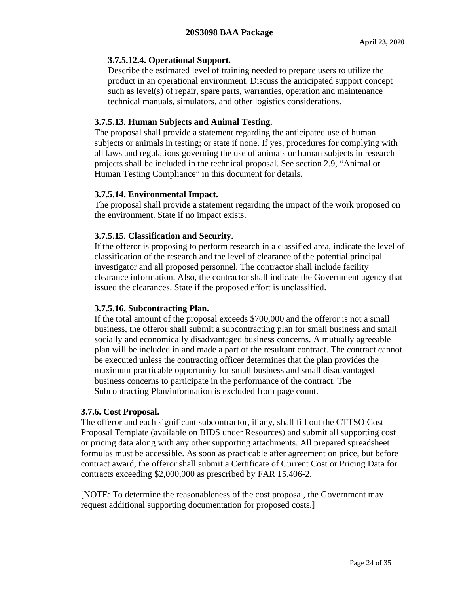#### <span id="page-23-0"></span>**3.7.5.12.4. Operational Support.**

Describe the estimated level of training needed to prepare users to utilize the product in an operational environment. Discuss the anticipated support concept such as level(s) of repair, spare parts, warranties, operation and maintenance technical manuals, simulators, and other logistics considerations.

#### <span id="page-23-1"></span>**3.7.5.13. Human Subjects and Animal Testing.**

The proposal shall provide a statement regarding the anticipated use of human subjects or animals in testing; or state if none. If yes, procedures for complying with all laws and regulations governing the use of animals or human subjects in research projects shall be included in the technical proposal. See section 2.9, "Animal or Human Testing Compliance" in this document for details.

#### <span id="page-23-2"></span>**3.7.5.14. Environmental Impact.**

The proposal shall provide a statement regarding the impact of the work proposed on the environment. State if no impact exists.

#### <span id="page-23-3"></span>**3.7.5.15. Classification and Security.**

If the offeror is proposing to perform research in a classified area, indicate the level of classification of the research and the level of clearance of the potential principal investigator and all proposed personnel. The contractor shall include facility clearance information. Also, the contractor shall indicate the Government agency that issued the clearances. State if the proposed effort is unclassified.

### <span id="page-23-4"></span>**3.7.5.16. Subcontracting Plan.**

If the total amount of the proposal exceeds \$700,000 and the offeror is not a small business, the offeror shall submit a subcontracting plan for small business and small socially and economically disadvantaged business concerns. A mutually agreeable plan will be included in and made a part of the resultant contract. The contract cannot be executed unless the contracting officer determines that the plan provides the maximum practicable opportunity for small business and small disadvantaged business concerns to participate in the performance of the contract. The Subcontracting Plan/information is excluded from page count.

#### <span id="page-23-5"></span>**3.7.6. Cost Proposal.**

The offeror and each significant subcontractor, if any, shall fill out the CTTSO Cost Proposal Template (available on BIDS under Resources) and submit all supporting cost or pricing data along with any other supporting attachments. All prepared spreadsheet formulas must be accessible. As soon as practicable after agreement on price, but before contract award, the offeror shall submit a Certificate of Current Cost or Pricing Data for contracts exceeding \$2,000,000 as prescribed by FAR 15.406-2.

[NOTE: To determine the reasonableness of the cost proposal, the Government may request additional supporting documentation for proposed costs.]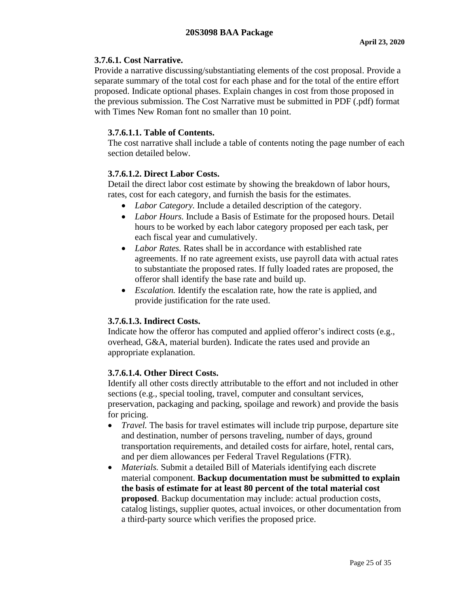### <span id="page-24-0"></span>**3.7.6.1. Cost Narrative.**

Provide a narrative discussing/substantiating elements of the cost proposal. Provide a separate summary of the total cost for each phase and for the total of the entire effort proposed. Indicate optional phases. Explain changes in cost from those proposed in the previous submission. The Cost Narrative must be submitted in PDF (.pdf) format with Times New Roman font no smaller than 10 point.

### <span id="page-24-1"></span>**3.7.6.1.1. Table of Contents.**

The cost narrative shall include a table of contents noting the page number of each section detailed below.

### <span id="page-24-2"></span>**3.7.6.1.2. Direct Labor Costs.**

Detail the direct labor cost estimate by showing the breakdown of labor hours, rates, cost for each category, and furnish the basis for the estimates.

- *Labor Category.* Include a detailed description of the category.
- *Labor Hours.* Include a Basis of Estimate for the proposed hours. Detail hours to be worked by each labor category proposed per each task, per each fiscal year and cumulatively.
- *Labor Rates.* Rates shall be in accordance with established rate agreements. If no rate agreement exists, use payroll data with actual rates to substantiate the proposed rates. If fully loaded rates are proposed, the offeror shall identify the base rate and build up.
- *Escalation*. Identify the escalation rate, how the rate is applied, and provide justification for the rate used.

### <span id="page-24-3"></span>**3.7.6.1.3. Indirect Costs.**

Indicate how the offeror has computed and applied offeror's indirect costs (e.g., overhead, G&A, material burden). Indicate the rates used and provide an appropriate explanation.

### <span id="page-24-4"></span>**3.7.6.1.4. Other Direct Costs.**

Identify all other costs directly attributable to the effort and not included in other sections (e.g., special tooling, travel, computer and consultant services, preservation, packaging and packing, spoilage and rework) and provide the basis for pricing.

- *Travel*. The basis for travel estimates will include trip purpose, departure site and destination, number of persons traveling, number of days, ground transportation requirements, and detailed costs for airfare, hotel, rental cars, and per diem allowances per Federal Travel Regulations (FTR).
- *Materials.* Submit a detailed Bill of Materials identifying each discrete material component. **Backup documentation must be submitted to explain the basis of estimate for at least 80 percent of the total material cost proposed**. Backup documentation may include: actual production costs, catalog listings, supplier quotes, actual invoices, or other documentation from a third-party source which verifies the proposed price.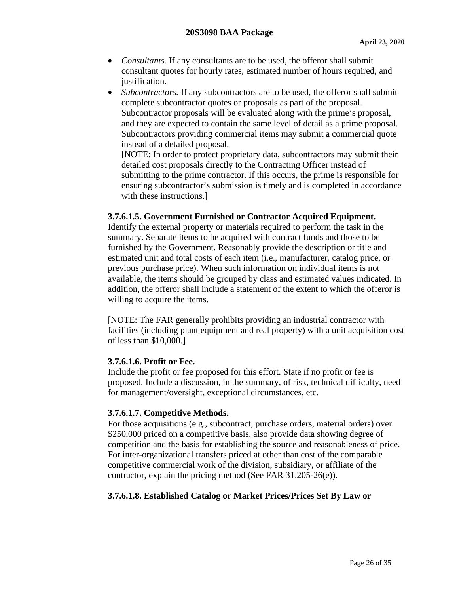- *Consultants.* If any consultants are to be used, the offeror shall submit consultant quotes for hourly rates, estimated number of hours required, and justification.
- *Subcontractors*. If any subcontractors are to be used, the offeror shall submit complete subcontractor quotes or proposals as part of the proposal. Subcontractor proposals will be evaluated along with the prime's proposal, and they are expected to contain the same level of detail as a prime proposal. Subcontractors providing commercial items may submit a commercial quote instead of a detailed proposal.

[NOTE: In order to protect proprietary data, subcontractors may submit their detailed cost proposals directly to the Contracting Officer instead of submitting to the prime contractor. If this occurs, the prime is responsible for ensuring subcontractor's submission is timely and is completed in accordance with these instructions.]

#### <span id="page-25-0"></span>**3.7.6.1.5. Government Furnished or Contractor Acquired Equipment.**

Identify the external property or materials required to perform the task in the summary. Separate items to be acquired with contract funds and those to be furnished by the Government. Reasonably provide the description or title and estimated unit and total costs of each item (i.e., manufacturer, catalog price, or previous purchase price). When such information on individual items is not available, the items should be grouped by class and estimated values indicated. In addition, the offeror shall include a statement of the extent to which the offeror is willing to acquire the items.

[NOTE: The FAR generally prohibits providing an industrial contractor with facilities (including plant equipment and real property) with a unit acquisition cost of less than \$10,000.]

#### <span id="page-25-1"></span>**3.7.6.1.6. Profit or Fee.**

Include the profit or fee proposed for this effort. State if no profit or fee is proposed. Include a discussion, in the summary, of risk, technical difficulty, need for management/oversight, exceptional circumstances, etc.

### <span id="page-25-2"></span>**3.7.6.1.7. Competitive Methods.**

For those acquisitions (e.g., subcontract, purchase orders, material orders) over \$250,000 priced on a competitive basis, also provide data showing degree of competition and the basis for establishing the source and reasonableness of price. For inter-organizational transfers priced at other than cost of the comparable competitive commercial work of the division, subsidiary, or affiliate of the contractor, explain the pricing method (See FAR 31.205-26(e)).

### <span id="page-25-3"></span>**3.7.6.1.8. Established Catalog or Market Prices/Prices Set By Law or**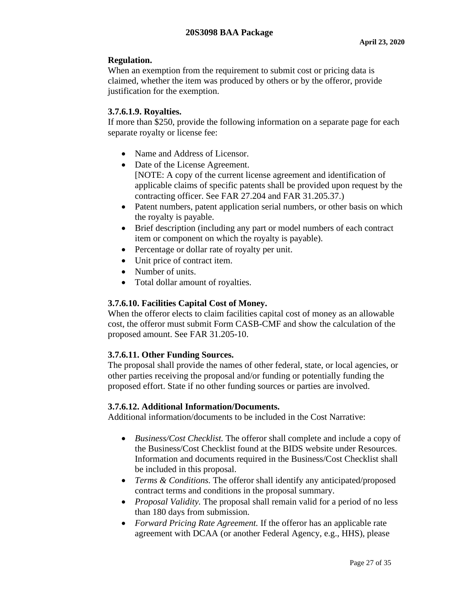# **Regulation.**

When an exemption from the requirement to submit cost or pricing data is claimed, whether the item was produced by others or by the offeror, provide justification for the exemption.

# <span id="page-26-0"></span>**3.7.6.1.9. Royalties.**

If more than \$250, provide the following information on a separate page for each separate royalty or license fee:

- Name and Address of Licensor.
- Date of the License Agreement. [NOTE: A copy of the current license agreement and identification of applicable claims of specific patents shall be provided upon request by the contracting officer. See FAR 27.204 and FAR 31.205.37.)
- Patent numbers, patent application serial numbers, or other basis on which the royalty is payable.
- Brief description (including any part or model numbers of each contract item or component on which the royalty is payable).
- Percentage or dollar rate of royalty per unit.
- Unit price of contract item.
- Number of units.
- Total dollar amount of royalties.

# <span id="page-26-1"></span>**3.7.6.10. Facilities Capital Cost of Money.**

When the offeror elects to claim facilities capital cost of money as an allowable cost, the offeror must submit Form CASB-CMF and show the calculation of the proposed amount. See FAR 31.205-10.

# <span id="page-26-2"></span>**3.7.6.11. Other Funding Sources.**

The proposal shall provide the names of other federal, state, or local agencies, or other parties receiving the proposal and/or funding or potentially funding the proposed effort. State if no other funding sources or parties are involved.

# <span id="page-26-3"></span>**3.7.6.12. Additional Information/Documents.**

Additional information/documents to be included in the Cost Narrative:

- *Business/Cost Checklist.* The offeror shall complete and include a copy of the Business/Cost Checklist found at the BIDS website under Resources. Information and documents required in the Business/Cost Checklist shall be included in this proposal.
- *Terms & Conditions.* The offeror shall identify any anticipated/proposed contract terms and conditions in the proposal summary.
- *Proposal Validity*. The proposal shall remain valid for a period of no less than 180 days from submission.
- *Forward Pricing Rate Agreement.* If the offeror has an applicable rate agreement with DCAA (or another Federal Agency, e.g., HHS), please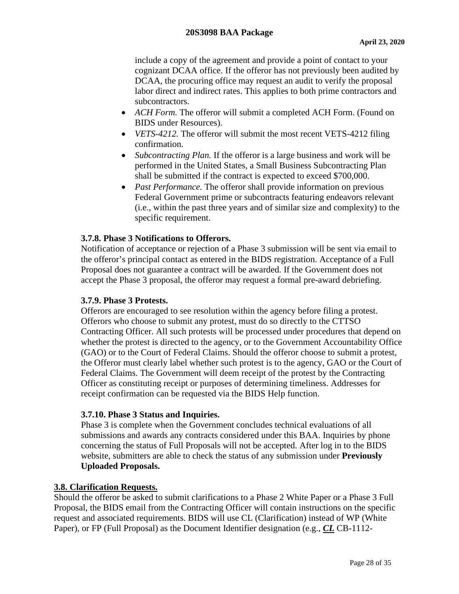include a copy of the agreement and provide a point of contact to your cognizant DCAA office. If the offeror has not previously been audited by DCAA, the procuring office may request an audit to verify the proposal labor direct and indirect rates. This applies to both prime contractors and subcontractors.

- *ACH Form.* The offeror will submit a completed ACH Form. (Found on BIDS under Resources).
- *VETS-4212.* The offeror will submit the most recent VETS-4212 filing confirmation.
- *Subcontracting Plan.* If the offeror is a large business and work will be performed in the United States, a Small Business Subcontracting Plan shall be submitted if the contract is expected to exceed \$700,000.
- *Past Performance*. The offeror shall provide information on previous Federal Government prime or subcontracts featuring endeavors relevant (i.e., within the past three years and of similar size and complexity) to the specific requirement.

# <span id="page-27-0"></span>**3.7.8. Phase 3 Notifications to Offerors.**

Notification of acceptance or rejection of a Phase 3 submission will be sent via email to the offeror's principal contact as entered in the BIDS registration. Acceptance of a Full Proposal does not guarantee a contract will be awarded. If the Government does not accept the Phase 3 proposal, the offeror may request a formal pre-award debriefing.

### <span id="page-27-1"></span>**3.7.9. Phase 3 Protests.**

Offerors are encouraged to see resolution within the agency before filing a protest. Offerors who choose to submit any protest, must do so directly to the CTTSO Contracting Officer. All such protests will be processed under procedures that depend on whether the protest is directed to the agency, or to the Government Accountability Office (GAO) or to the Court of Federal Claims. Should the offeror choose to submit a protest, the Offeror must clearly label whether such protest is to the agency, GAO or the Court of Federal Claims. The Government will deem receipt of the protest by the Contracting Officer as constituting receipt or purposes of determining timeliness. Addresses for receipt confirmation can be requested via the BIDS Help function.

### <span id="page-27-2"></span>**3.7.10. Phase 3 Status and Inquiries.**

Phase 3 is complete when the Government concludes technical evaluations of all submissions and awards any contracts considered under this BAA. Inquiries by phone concerning the status of Full Proposals will not be accepted. After log in to the BIDS website, submitters are able to check the status of any submission under **Previously Uploaded Proposals.**

### <span id="page-27-3"></span>**3.8. Clarification Requests.**

Should the offeror be asked to submit clarifications to a Phase 2 White Paper or a Phase 3 Full Proposal, the BIDS email from the Contracting Officer will contain instructions on the specific request and associated requirements. BIDS will use CL (Clarification) instead of WP (White Paper), or FP (Full Proposal) as the Document Identifier designation (e.g., *CL* CB-1112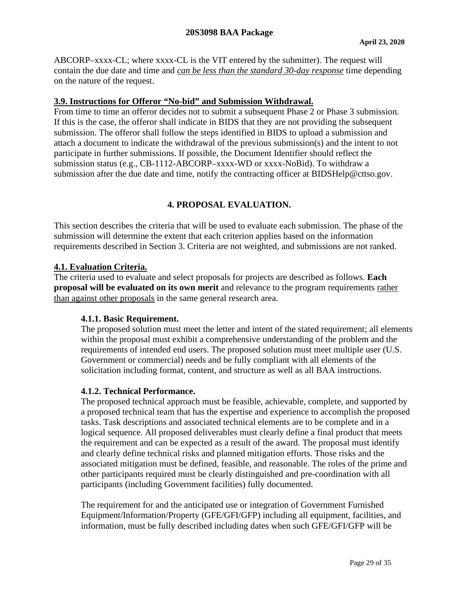ABCORP–xxxx-CL; where xxxx-CL is the VIT entered by the submitter). The request will contain the due date and time and *can be less than the standard 30-day response* time depending on the nature of the request.

#### <span id="page-28-0"></span>**3.9. Instructions for Offeror "No-bid" and Submission Withdrawal.**

From time to time an offeror decides not to submit a subsequent Phase 2 or Phase 3 submission. If this is the case, the offeror shall indicate in BIDS that they are not providing the subsequent submission. The offeror shall follow the steps identified in BIDS to upload a submission and attach a document to indicate the withdrawal of the previous submission(s) and the intent to not participate in further submissions. If possible, the Document Identifier should reflect the submission status (e.g., CB-1112-ABCORP–xxxx-WD or xxxx-NoBid). To withdraw a submission after the due date and time, notify the contracting officer at BIDSHelp@cttso.gov.

# **4. PROPOSAL EVALUATION.**

<span id="page-28-1"></span>This section describes the criteria that will be used to evaluate each submission. The phase of the submission will determine the extent that each criterion applies based on the information requirements described in Section 3. Criteria are not weighted, and submissions are not ranked.

#### <span id="page-28-2"></span>**4.1. Evaluation Criteria.**

The criteria used to evaluate and select proposals for projects are described as follows. **Each proposal will be evaluated on its own merit** and relevance to the program requirements rather than against other proposals in the same general research area.

#### <span id="page-28-3"></span>**4.1.1. Basic Requirement.**

The proposed solution must meet the letter and intent of the stated requirement; all elements within the proposal must exhibit a comprehensive understanding of the problem and the requirements of intended end users. The proposed solution must meet multiple user (U.S. Government or commercial) needs and be fully compliant with all elements of the solicitation including format, content, and structure as well as all BAA instructions.

#### <span id="page-28-4"></span>**4.1.2. Technical Performance.**

The proposed technical approach must be feasible, achievable, complete, and supported by a proposed technical team that has the expertise and experience to accomplish the proposed tasks. Task descriptions and associated technical elements are to be complete and in a logical sequence. All proposed deliverables must clearly define a final product that meets the requirement and can be expected as a result of the award. The proposal must identify and clearly define technical risks and planned mitigation efforts. Those risks and the associated mitigation must be defined, feasible, and reasonable. The roles of the prime and other participants required must be clearly distinguished and pre-coordination with all participants (including Government facilities) fully documented.

The requirement for and the anticipated use or integration of Government Furnished Equipment/Information/Property (GFE/GFI/GFP) including all equipment, facilities, and information, must be fully described including dates when such GFE/GFI/GFP will be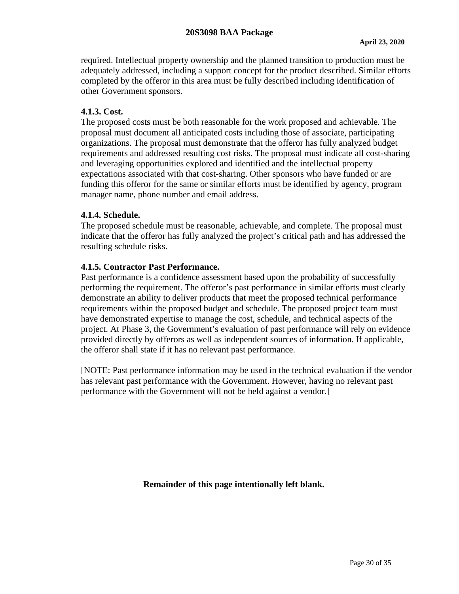required. Intellectual property ownership and the planned transition to production must be adequately addressed, including a support concept for the product described. Similar efforts completed by the offeror in this area must be fully described including identification of other Government sponsors.

### <span id="page-29-0"></span>**4.1.3. Cost.**

The proposed costs must be both reasonable for the work proposed and achievable. The proposal must document all anticipated costs including those of associate, participating organizations. The proposal must demonstrate that the offeror has fully analyzed budget requirements and addressed resulting cost risks. The proposal must indicate all cost-sharing and leveraging opportunities explored and identified and the intellectual property expectations associated with that cost-sharing. Other sponsors who have funded or are funding this offeror for the same or similar efforts must be identified by agency, program manager name, phone number and email address.

#### <span id="page-29-1"></span>**4.1.4. Schedule.**

The proposed schedule must be reasonable, achievable, and complete. The proposal must indicate that the offeror has fully analyzed the project's critical path and has addressed the resulting schedule risks.

#### <span id="page-29-2"></span>**4.1.5. Contractor Past Performance.**

Past performance is a confidence assessment based upon the probability of successfully performing the requirement. The offeror's past performance in similar efforts must clearly demonstrate an ability to deliver products that meet the proposed technical performance requirements within the proposed budget and schedule. The proposed project team must have demonstrated expertise to manage the cost, schedule, and technical aspects of the project. At Phase 3, the Government's evaluation of past performance will rely on evidence provided directly by offerors as well as independent sources of information. If applicable, the offeror shall state if it has no relevant past performance.

[NOTE: Past performance information may be used in the technical evaluation if the vendor has relevant past performance with the Government. However, having no relevant past performance with the Government will not be held against a vendor.]

**Remainder of this page intentionally left blank.**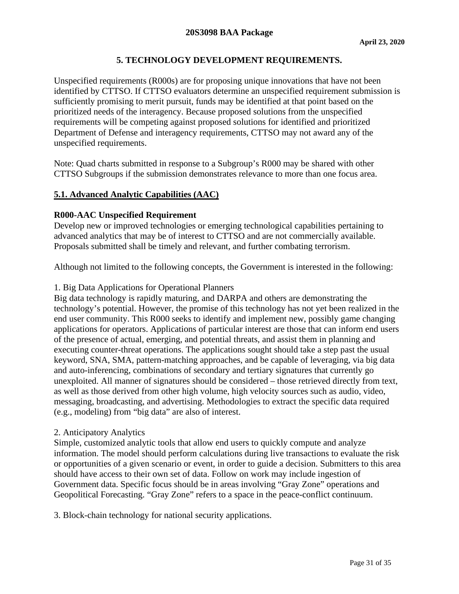# **5. TECHNOLOGY DEVELOPMENT REQUIREMENTS.**

<span id="page-30-0"></span>Unspecified requirements (R000s) are for proposing unique innovations that have not been identified by CTTSO. If CTTSO evaluators determine an unspecified requirement submission is sufficiently promising to merit pursuit, funds may be identified at that point based on the prioritized needs of the interagency. Because proposed solutions from the unspecified requirements will be competing against proposed solutions for identified and prioritized Department of Defense and interagency requirements, CTTSO may not award any of the unspecified requirements.

Note: Quad charts submitted in response to a Subgroup's R000 may be shared with other CTTSO Subgroups if the submission demonstrates relevance to more than one focus area.

# <span id="page-30-1"></span>**5.1. Advanced Analytic Capabilities (AAC)**

#### **R000-AAC Unspecified Requirement**

Develop new or improved technologies or emerging technological capabilities pertaining to advanced analytics that may be of interest to CTTSO and are not commercially available. Proposals submitted shall be timely and relevant, and further combating terrorism.

Although not limited to the following concepts, the Government is interested in the following:

#### 1. Big Data Applications for Operational Planners

Big data technology is rapidly maturing, and DARPA and others are demonstrating the technology's potential. However, the promise of this technology has not yet been realized in the end user community. This R000 seeks to identify and implement new, possibly game changing applications for operators. Applications of particular interest are those that can inform end users of the presence of actual, emerging, and potential threats, and assist them in planning and executing counter-threat operations. The applications sought should take a step past the usual keyword, SNA, SMA, pattern-matching approaches, and be capable of leveraging, via big data and auto-inferencing, combinations of secondary and tertiary signatures that currently go unexploited. All manner of signatures should be considered – those retrieved directly from text, as well as those derived from other high volume, high velocity sources such as audio, video, messaging, broadcasting, and advertising. Methodologies to extract the specific data required (e.g., modeling) from "big data" are also of interest.

#### 2. Anticipatory Analytics

Simple, customized analytic tools that allow end users to quickly compute and analyze information. The model should perform calculations during live transactions to evaluate the risk or opportunities of a given scenario or event, in order to guide a decision. Submitters to this area should have access to their own set of data. Follow on work may include ingestion of Government data. Specific focus should be in areas involving "Gray Zone" operations and Geopolitical Forecasting. "Gray Zone" refers to a space in the peace-conflict continuum.

3. Block-chain technology for national security applications.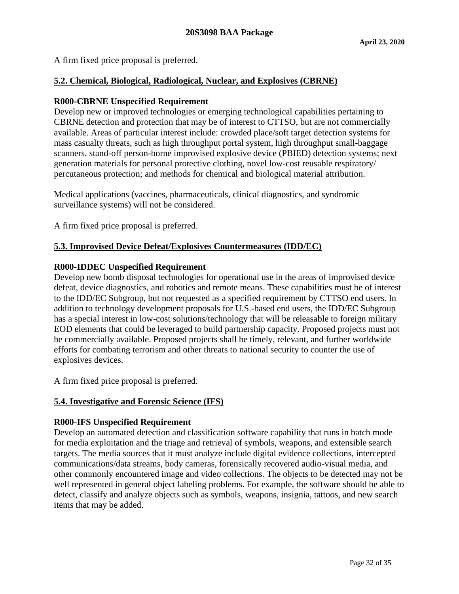A firm fixed price proposal is preferred.

### <span id="page-31-0"></span>**5.2. Chemical, Biological, Radiological, Nuclear, and Explosives (CBRNE)**

### **R000-CBRNE Unspecified Requirement**

Develop new or improved technologies or emerging technological capabilities pertaining to CBRNE detection and protection that may be of interest to CTTSO, but are not commercially available. Areas of particular interest include: crowded place/soft target detection systems for mass casualty threats, such as high throughput portal system, high throughput small-baggage scanners, stand-off person-borne improvised explosive device (PBIED) detection systems; next generation materials for personal protective clothing, novel low-cost reusable respiratory/ percutaneous protection; and methods for chemical and biological material attribution.

Medical applications (vaccines, pharmaceuticals, clinical diagnostics, and syndromic surveillance systems) will not be considered.

A firm fixed price proposal is preferred.

# <span id="page-31-1"></span>**5.3. Improvised Device Defeat/Explosives Countermeasures (IDD/EC)**

#### **R000-IDDEC Unspecified Requirement**

Develop new bomb disposal technologies for operational use in the areas of improvised device defeat, device diagnostics, and robotics and remote means. These capabilities must be of interest to the IDD/EC Subgroup, but not requested as a specified requirement by CTTSO end users. In addition to technology development proposals for U.S.-based end users, the IDD/EC Subgroup has a special interest in low-cost solutions/technology that will be releasable to foreign military EOD elements that could be leveraged to build partnership capacity. Proposed projects must not be commercially available. Proposed projects shall be timely, relevant, and further worldwide efforts for combating terrorism and other threats to national security to counter the use of explosives devices.

A firm fixed price proposal is preferred.

### <span id="page-31-2"></span>**5.4. Investigative and Forensic Science (IFS)**

### **R000-IFS Unspecified Requirement**

Develop an automated detection and classification software capability that runs in batch mode for media exploitation and the triage and retrieval of symbols, weapons, and extensible search targets. The media sources that it must analyze include digital evidence collections, intercepted communications/data streams, body cameras, forensically recovered audio-visual media, and other commonly encountered image and video collections. The objects to be detected may not be well represented in general object labeling problems. For example, the software should be able to detect, classify and analyze objects such as symbols, weapons, insignia, tattoos, and new search items that may be added.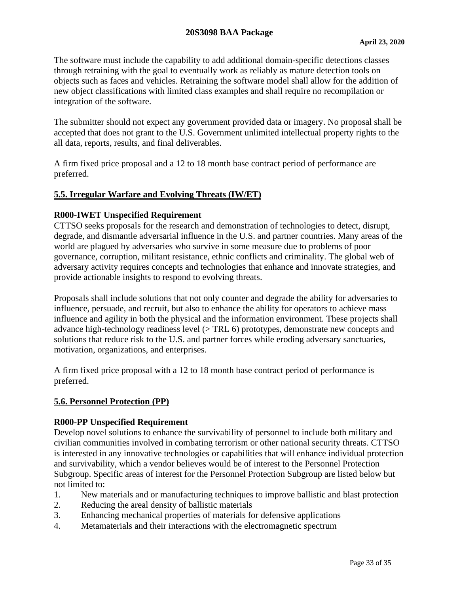#### **20S3098 BAA Package**

The software must include the capability to add additional domain-specific detections classes through retraining with the goal to eventually work as reliably as mature detection tools on objects such as faces and vehicles. Retraining the software model shall allow for the addition of new object classifications with limited class examples and shall require no recompilation or integration of the software.

The submitter should not expect any government provided data or imagery. No proposal shall be accepted that does not grant to the U.S. Government unlimited intellectual property rights to the all data, reports, results, and final deliverables.

A firm fixed price proposal and a 12 to 18 month base contract period of performance are preferred.

#### <span id="page-32-0"></span>**5.5. Irregular Warfare and Evolving Threats (IW/ET)**

#### **R000-IWET Unspecified Requirement**

CTTSO seeks proposals for the research and demonstration of technologies to detect, disrupt, degrade, and dismantle adversarial influence in the U.S. and partner countries. Many areas of the world are plagued by adversaries who survive in some measure due to problems of poor governance, corruption, militant resistance, ethnic conflicts and criminality. The global web of adversary activity requires concepts and technologies that enhance and innovate strategies, and provide actionable insights to respond to evolving threats.

Proposals shall include solutions that not only counter and degrade the ability for adversaries to influence, persuade, and recruit, but also to enhance the ability for operators to achieve mass influence and agility in both the physical and the information environment. These projects shall advance high-technology readiness level (> TRL 6) prototypes, demonstrate new concepts and solutions that reduce risk to the U.S. and partner forces while eroding adversary sanctuaries, motivation, organizations, and enterprises.

A firm fixed price proposal with a 12 to 18 month base contract period of performance is preferred.

#### <span id="page-32-1"></span>**5.6. Personnel Protection (PP)**

#### **R000-PP Unspecified Requirement**

Develop novel solutions to enhance the survivability of personnel to include both military and civilian communities involved in combating terrorism or other national security threats. CTTSO is interested in any innovative technologies or capabilities that will enhance individual protection and survivability, which a vendor believes would be of interest to the Personnel Protection Subgroup. Specific areas of interest for the Personnel Protection Subgroup are listed below but not limited to:

- 1. New materials and or manufacturing techniques to improve ballistic and blast protection
- 2. Reducing the areal density of ballistic materials
- 3. Enhancing mechanical properties of materials for defensive applications
- 4. Metamaterials and their interactions with the electromagnetic spectrum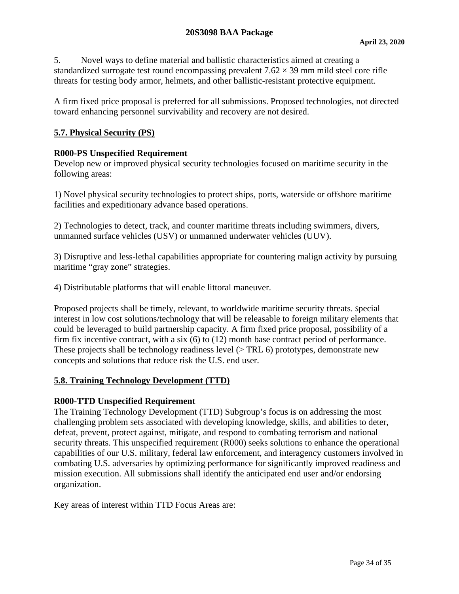5. Novel ways to define material and ballistic characteristics aimed at creating a standardized surrogate test round encompassing prevalent  $7.62 \times 39$  mm mild steel core rifle threats for testing body armor, helmets, and other ballistic-resistant protective equipment.

A firm fixed price proposal is preferred for all submissions. Proposed technologies, not directed toward enhancing personnel survivability and recovery are not desired.

#### <span id="page-33-0"></span>**5.7. Physical Security (PS)**

#### **R000-PS Unspecified Requirement**

Develop new or improved physical security technologies focused on maritime security in the following areas:

1) Novel physical security technologies to protect ships, ports, waterside or offshore maritime facilities and expeditionary advance based operations.

2) Technologies to detect, track, and counter maritime threats including swimmers, divers, unmanned surface vehicles (USV) or unmanned underwater vehicles (UUV).

3) Disruptive and less-lethal capabilities appropriate for countering malign activity by pursuing maritime "gray zone" strategies.

4) Distributable platforms that will enable littoral maneuver.

Proposed projects shall be timely, relevant, to worldwide maritime security threats. Special interest in low cost solutions/technology that will be releasable to foreign military elements that could be leveraged to build partnership capacity. A firm fixed price proposal, possibility of a firm fix incentive contract, with a six (6) to (12) month base contract period of performance. These projects shall be technology readiness level ( $>$  TRL 6) prototypes, demonstrate new concepts and solutions that reduce risk the U.S. end user.

#### <span id="page-33-1"></span>**5.8. Training Technology Development (TTD)**

#### **R000-TTD Unspecified Requirement**

The Training Technology Development (TTD) Subgroup's focus is on addressing the most challenging problem sets associated with developing knowledge, skills, and abilities to deter, defeat, prevent, protect against, mitigate, and respond to combating terrorism and national security threats. This unspecified requirement (R000) seeks solutions to enhance the operational capabilities of our U.S. military, federal law enforcement, and interagency customers involved in combating U.S. adversaries by optimizing performance for significantly improved readiness and mission execution. All submissions shall identify the anticipated end user and/or endorsing organization.

Key areas of interest within TTD Focus Areas are: